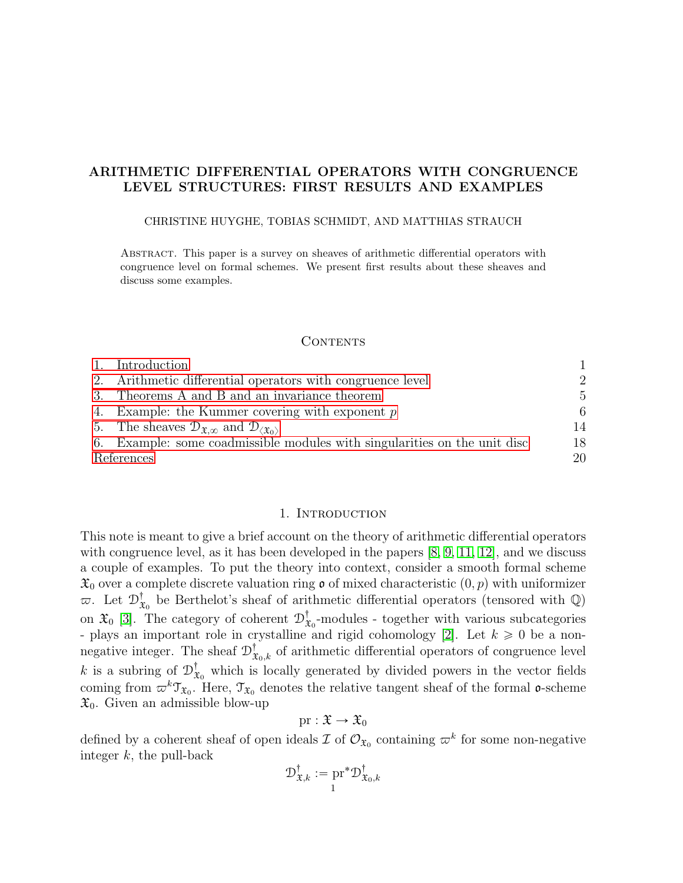## <span id="page-0-1"></span>ARITHMETIC DIFFERENTIAL OPERATORS WITH CONGRUENCE LEVEL STRUCTURES: FIRST RESULTS AND EXAMPLES

### CHRISTINE HUYGHE, TOBIAS SCHMIDT, AND MATTHIAS STRAUCH

Abstract. This paper is a survey on sheaves of arithmetic differential operators with congruence level on formal schemes. We present first results about these sheaves and discuss some examples.

#### CONTENTS

|            | 1. Introduction                                                                                       |    |
|------------|-------------------------------------------------------------------------------------------------------|----|
|            | 2. Arithmetic differential operators with congruence level                                            | 2  |
|            | 3. Theorems A and B and an invariance theorem                                                         | 5  |
|            | 4. Example: the Kummer covering with exponent $p$                                                     | 6  |
|            | 5. The sheaves $\mathcal{D}_{\mathfrak{X},\infty}$ and $\mathcal{D}_{\langle \mathfrak{X}_0 \rangle}$ | 14 |
|            | 6. Example: some coadmissible modules with singularities on the unit disc                             | 18 |
| References |                                                                                                       | 20 |

### 1. INTRODUCTION

<span id="page-0-0"></span>This note is meant to give a brief account on the theory of arithmetic differential operators with congruence level, as it has been developed in the papers [\[8,](#page-19-1) [9,](#page-19-2) [11,](#page-19-3) [12\]](#page-19-4), and we discuss a couple of examples. To put the theory into context, consider a smooth formal scheme  $\mathfrak{X}_0$  over a complete discrete valuation ring  $\mathfrak{o}$  of mixed characteristic  $(0, p)$  with uniformizer  $\varpi$ . Let  $\mathcal{D}^{\dagger}_{\mathbf{a}}$  $\mathbf{x}_0^{\dagger}$  be Berthelot's sheaf of arithmetic differential operators (tensored with  $\mathbb{Q}$ ) on  $\mathfrak{X}_0$  [\[3\]](#page-19-5). The category of coherent  $\mathcal{D}^{\dagger}_3$  $X_0$ -modules - together with various subcategories - plays an important role in crystalline and rigid cohomology [\[2\]](#page-19-6). Let  $k \geq 0$  be a nonnegative integer. The sheaf  $\mathcal{D}^{\dagger}_{\mathfrak{X}_{0},k}$  of arithmetic differential operators of congruence level k is a subring of  $\mathcal{D}_3^{\dagger}$  $\mathbf{x}_0^{\mathsf{T}}$  which is locally generated by divided powers in the vector fields coming from  $\omega^k \mathfrak{T}_{\mathfrak{X}_0}$ . Here,  $\mathfrak{T}_{\mathfrak{X}_0}$  denotes the relative tangent sheaf of the formal **o**-scheme  $\mathfrak{X}_0$ . Given an admissible blow-up

$$
\mathrm{pr}:\mathfrak{X}\to\mathfrak{X}_0
$$

defined by a coherent sheaf of open ideals  $\mathcal I$  of  $\mathcal O_{\mathfrak X_0}$  containing  $\varpi^k$  for some non-negative integer  $k$ , the pull-back

$$
\mathcal{D}_{\mathfrak{X},k}^{\dagger} := \underset{1}{\mathrm{pr}}^* \mathcal{D}_{\mathfrak{X}_0,k}^{\dagger}
$$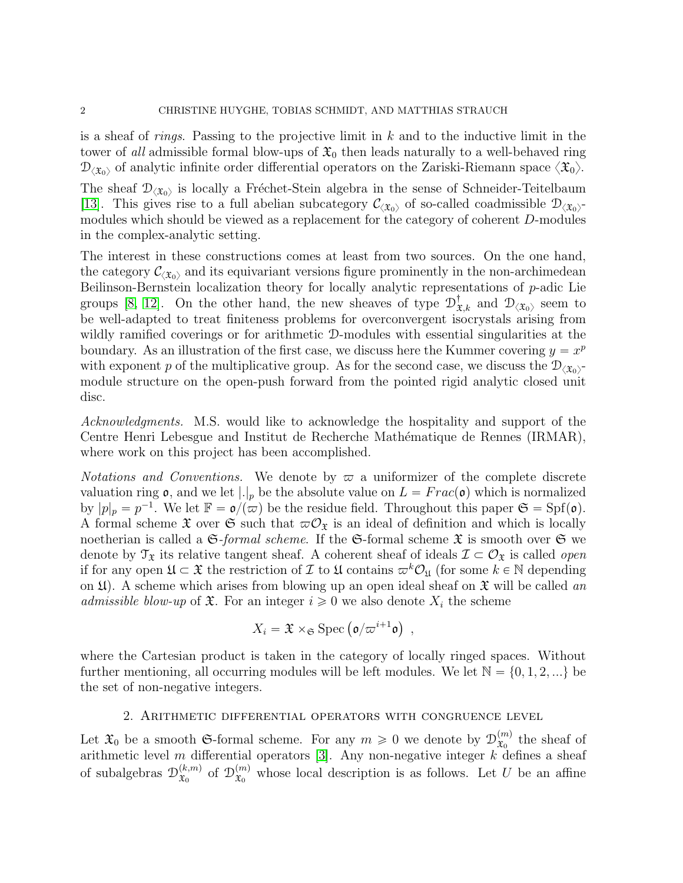is a sheaf of *rings*. Passing to the projective limit in  $k$  and to the inductive limit in the tower of all admissible formal blow-ups of  $\mathfrak{X}_0$  then leads naturally to a well-behaved ring  $\mathcal{D}_{\langle\mathfrak{X}_0\rangle}$  of analytic infinite order differential operators on the Zariski-Riemann space  $\langle\mathfrak{X}_0\rangle$ .

The sheaf  $\mathcal{D}_{\langle \mathfrak{X}_0 \rangle}$  is locally a Fréchet-Stein algebra in the sense of Schneider-Teitelbaum [\[13\]](#page-19-7). This gives rise to a full abelian subcategory  $\mathcal{C}_{\langle \mathfrak{X}_0 \rangle}$  of so-called coadmissible  $\mathcal{D}_{\langle \mathfrak{X}_0 \rangle}$ modules which should be viewed as a replacement for the category of coherent D-modules in the complex-analytic setting.

The interest in these constructions comes at least from two sources. On the one hand, the category  $\mathcal{C}_{\langle\mathfrak{X}_0\rangle}$  and its equivariant versions figure prominently in the non-archimedean Beilinson-Bernstein localization theory for locally analytic representations of p-adic Lie groups [\[8,](#page-19-1) [12\]](#page-19-4). On the other hand, the new sheaves of type  $\mathcal{D}^{\dagger}_{\mathfrak{X},k}$  and  $\mathcal{D}_{\langle\mathfrak{X}_0\rangle}$  seem to be well-adapted to treat finiteness problems for overconvergent isocrystals arising from wildly ramified coverings or for arithmetic D-modules with essential singularities at the boundary. As an illustration of the first case, we discuss here the Kummer covering  $y = x^p$ with exponent p of the multiplicative group. As for the second case, we discuss the  $\mathcal{D}_{\langle \mathfrak{X}_0 \rangle}$ module structure on the open-push forward from the pointed rigid analytic closed unit disc.

Acknowledgments. M.S. would like to acknowledge the hospitality and support of the Centre Henri Lebesgue and Institut de Recherche Mathématique de Rennes (IRMAR), where work on this project has been accomplished.

*Notations and Conventions.* We denote by  $\varpi$  a uniformizer of the complete discrete valuation ring  $\mathfrak{o}$ , and we let  $|.|_p$  be the absolute value on  $L = Frac(\mathfrak{o})$  which is normalized by  $|p|_p = p^{-1}$ . We let  $\mathbb{F} = \mathfrak{o} / (\pi)$  be the residue field. Throughout this paper  $\mathfrak{S} = Spf(\mathfrak{o})$ . A formal scheme  $\mathfrak X$  over  $\mathfrak S$  such that  $\varpi \mathcal O_{\mathfrak X}$  is an ideal of definition and which is locally noetherian is called a  $\mathfrak{S}\text{-}formal scheme$ . If the  $\mathfrak{S}\text{-}formal$  scheme  $\mathfrak{X}$  is smooth over  $\mathfrak{S}$  we denote by  $\mathcal{T}_{\mathfrak{X}}$  its relative tangent sheaf. A coherent sheaf of ideals  $\mathcal{I} \subset \mathcal{O}_{\mathfrak{X}}$  is called *open* if for any open  $\mathfrak{U} \subset \mathfrak{X}$  the restriction of  $\mathcal I$  to  $\mathfrak{U}$  contains  $\varpi^k\mathcal{O}_{\mathfrak{U}}$  (for some  $k \in \mathbb{N}$  depending on  $\mathfrak{U}$ . A scheme which arises from blowing up an open ideal sheaf on  $\mathfrak{X}$  will be called an admissible blow-up of  $\mathfrak{X}$ . For an integer  $i \geq 0$  we also denote  $X_i$  the scheme

$$
X_i = \mathfrak{X} \times_{\mathfrak{S}} \text{Spec} \left( \mathfrak{o}/\varpi^{i+1} \mathfrak{o} \right) ,
$$

where the Cartesian product is taken in the category of locally ringed spaces. Without further mentioning, all occurring modules will be left modules. We let  $\mathbb{N} = \{0, 1, 2, ...\}$  be the set of non-negative integers.

## 2. Arithmetic differential operators with congruence level

<span id="page-1-0"></span>Let  $\mathfrak{X}_0$  be a smooth G-formal scheme. For any  $m \geq 0$  we denote by  $\mathcal{D}_{\mathfrak{X}_0}^{(m)}$  $\mathfrak{X}_0^{(m)}$  the sheaf of arithmetic level m differential operators [\[3\]](#page-19-5). Any non-negative integer  $k$  defines a sheaf of subalgebras  $\mathcal{D}_{\mathfrak{T}_0}^{(k,m)}$  $(x, m)$  of  $\mathcal{D}_{\mathfrak{X}_0}^{(m)}$  $\mathfrak{X}_0^{(m)}$  whose local description is as follows. Let U be an affine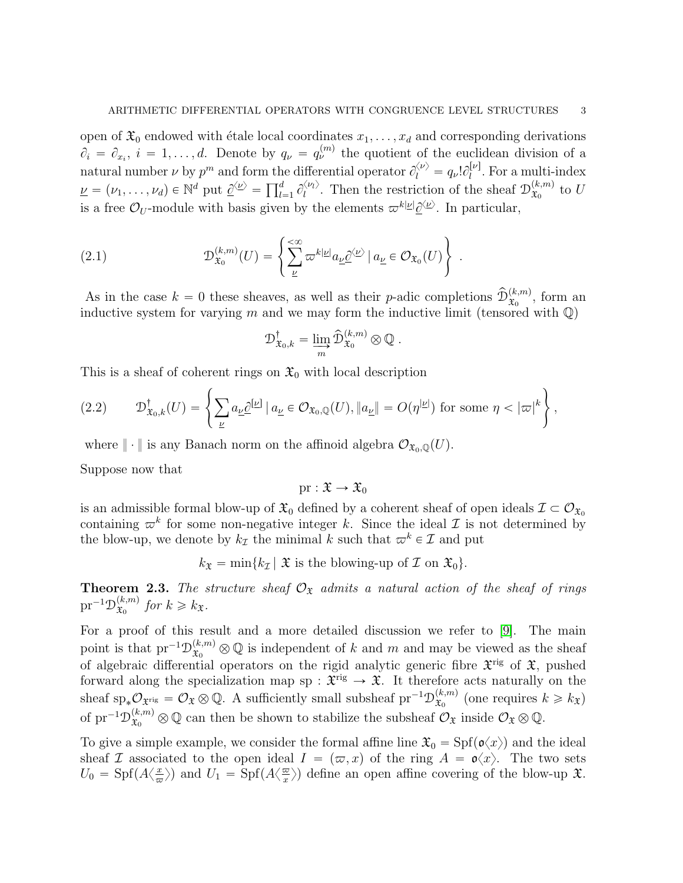open of  $\mathfrak{X}_0$  endowed with étale local coordinates  $x_1, \ldots, x_d$  and corresponding derivations  $\partial_i = \partial_{x_i}, i = 1, \ldots, d$ . Denote by  $q_{\nu} = q_{\nu}^{(m)}$  the quotient of the euclidean division of a natural number  $\nu$  by  $p^m$  and form the differential operator  $\partial_l^{\langle \nu \rangle} = q_{\nu}! \partial_l^{[\nu]}$  $\iota^{[\nu]}$ . For a multi-index matural number  $\nu$  by  $p^m$  and form the  $\underline{\nu} = (\nu_1, \dots, \nu_d) \in \mathbb{N}^d$  put  $\underline{\partial}^{\langle \underline{\nu} \rangle} = \prod_{l=1}^d$  $\partial_{l=1}^d \partial_l^{\langle \nu_l \rangle}$  $\langle u \rangle$ . Then the restriction of the sheaf  $\mathcal{D}_{\mathfrak{X}_0}^{(k,m)}$  $_{x_0}^{\scriptscriptstyle(\kappa,m)}$  to  $U$ is a free  $\mathcal{O}_U$ -module with basis given by the elements  $\varpi^{k|\underline{\nu}|}\underline{\partial}^{\langle \underline{\nu}\rangle}$ . In particular,

(2.1) 
$$
\mathcal{D}_{\mathfrak{X}_0}^{(k,m)}(U) = \left\{ \sum_{\underline{\nu}}^{\leq \infty} \varpi^{k|\underline{\nu}|} a_{\underline{\nu}} \underline{\partial}^{\langle \underline{\nu} \rangle} \, | \, a_{\underline{\nu}} \in \mathcal{O}_{\mathfrak{X}_0}(U) \right\} \, .
$$

As in the case  $k = 0$  these sheaves, as well as their p-adic completions  $\widehat{\mathcal{D}}_{\mathfrak{X}_0}^{(k,m)}$ , form an inductive system for varying m and we may form the inductive limit (tensored with  $\mathbb{Q}$ )

$$
\mathcal{D}_{\mathfrak{X}_0,k}^{\dagger} = \varinjlim_{m} \widehat{\mathcal{D}}_{\mathfrak{X}_0}^{(k,m)} \otimes \mathbb{Q} \; .
$$

This is a sheaf of coherent rings on  $\mathfrak{X}_0$  with local description

<span id="page-2-0"></span>(2.2) 
$$
\mathcal{D}^{\dagger}_{\mathfrak{X}_0,k}(U) = \left\{ \sum_{\underline{\nu}} a_{\underline{\nu}} \underline{\partial}^{[\underline{\nu}]} \, | \, a_{\underline{\nu}} \in \mathcal{O}_{\mathfrak{X}_0,\mathbb{Q}}(U), \|a_{\underline{\nu}}\| = O(\eta^{|\underline{\nu}|}) \text{ for some } \eta < |\varpi|^k \right\},
$$

where  $\|\cdot\|$  is any Banach norm on the affinoid algebra  $\mathcal{O}_{\mathfrak{X}_0,\mathbb{Q}}(U)$ .

Suppose now that

$$
\mathrm{pr}:\mathfrak{X}\to\mathfrak{X}_0
$$

is an admissible formal blow-up of  $\mathfrak{X}_0$  defined by a coherent sheaf of open ideals  $\mathcal{I} \subset \mathcal{O}_{\mathfrak{X}_0}$ containing  $\varpi^k$  for some non-negative integer k. Since the ideal  $\mathcal I$  is not determined by the blow-up, we denote by  $k_{\mathcal{I}}$  the minimal k such that  $\varpi^k \in \mathcal{I}$  and put

 $k_{\mathfrak{X}} = \min\{k_{\mathcal{I}} | \mathfrak{X} \text{ is the blowing-up of } \mathcal{I} \text{ on } \mathfrak{X}_0\}.$ 

**Theorem 2.3.** The structure sheaf  $\mathcal{O}_{\mathfrak{X}}$  admits a natural action of the sheaf of rings  ${\rm pr}^{-1}{\mathcal D}^{(k,m)}_{{\mathfrak X}_\alpha}$  $\mathfrak{X}_0^{(k,m)}$  for  $k \geq k_{\mathfrak{X}}$ .

For a proof of this result and a more detailed discussion we refer to [\[9\]](#page-19-2). The main point is that  $\text{pr}^{-1} \mathcal{D}^{(k,m)}_{\mathfrak{X}_0} \otimes \mathbb{Q}$  is independent of k and m and may be viewed as the sheaf of algebraic differential operators on the rigid analytic generic fibre  $\mathfrak{X}^{\text{rig}}$  of  $\mathfrak{X}$ , pushed forward along the specialization map sp :  $\mathfrak{X}^{\text{rig}} \to \mathfrak{X}$ . It therefore acts naturally on the sheaf sp<sub>\*</sub> $\mathcal{O}_{\mathfrak{X}^{\mathrm{rig}}} = \mathcal{O}_{\mathfrak{X}} \otimes \mathbb{Q}$ . A sufficiently small subsheaf pr<sup>-1</sup> $\mathcal{D}_{\mathfrak{X}_0}^{(k,m)}$  $(x, m)$  (one requires  $k \geq k_{\mathfrak{X}}$ ) of  $\text{pr}^{-1} \mathcal{D}^{(k,m)}_{\mathfrak{X}_0} \otimes \mathbb{Q}$  can then be shown to stabilize the subsheaf  $\mathcal{O}_{\mathfrak{X}}$  inside  $\mathcal{O}_{\mathfrak{X}} \otimes \mathbb{Q}$ .

To give a simple example, we consider the formal affine line  $\mathfrak{X}_0 = \text{Spf}(\mathfrak{o}\langle x\rangle)$  and the ideal sheaf I associated to the open ideal  $I = (\varpi, x)$  of the ring  $A = \mathfrak{o}\langle x \rangle$ . The two sets  $U_0 = \text{Spf}(A\langle \frac{x}{\pi} \rangle)$  $\frac{x}{\varpi}$ ) and  $U_1 = \text{Spf}(A\langle \frac{\varpi}{x}]$  $\langle \frac{\varpi}{x} \rangle$  define an open affine covering of the blow-up  $\mathfrak{X}$ .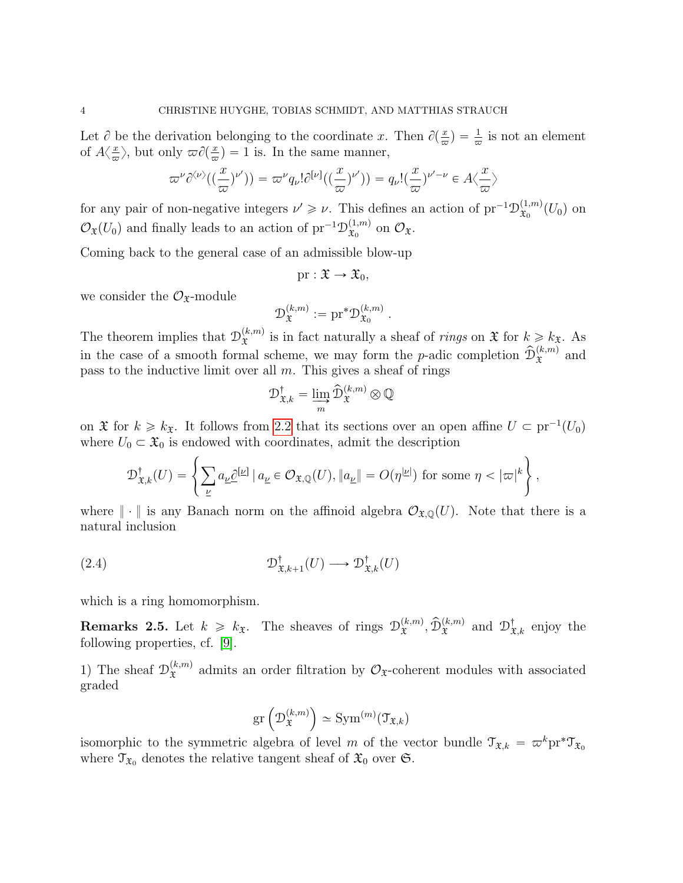Let  $\partial$  be the derivation belonging to the coordinate x. Then  $\partial(\frac{x}{\varpi}) = \frac{1}{\varpi}$  is not an element of  $A\left\langle \frac{x}{\pi} \right\rangle$  $\frac{x}{\varpi}$ , but only  $\varpi \partial(\frac{x}{\varpi}) = 1$  is. In the same manner,

$$
\varpi^{\nu}\partial^{\langle\nu\rangle}((\frac{x}{\varpi})^{\nu'})) = \varpi^{\nu}q_{\nu}!\partial^{[\nu]}((\frac{x}{\varpi})^{\nu'})) = q_{\nu}!(\frac{x}{\varpi})^{\nu'-\nu} \in A\langle \frac{x}{\varpi} \rangle
$$

for any pair of non-negative integers  $\nu' \geq \nu$ . This defines an action of  ${\rm pr}^{-1}{\mathcal D}^{(1,m)}_{\mathfrak{X}_0}$  $\mathfrak{X}_0^{(1,m)}(U_0)$  on  $\mathcal{O}_{\mathfrak{X}}(U_0)$  and finally leads to an action of  $\text{pr}^{-1}\mathcal{D}_{\mathfrak{X}_0}^{(1,m)}$  $x_0^{(1,m)}$  on  $\mathcal{O}_{\mathfrak{X}}$ .

Coming back to the general case of an admissible blow-up

$$
\mathrm{pr}:\mathfrak{X}\to\mathfrak{X}_0,
$$

we consider the  $\mathcal{O}_{\mathfrak{X}}$ -module

$$
\mathcal{D}_{\mathfrak{X}}^{(k,m)}:=\mathrm{pr}^*\mathcal{D}_{\mathfrak{X}_0}^{(k,m)}\ .
$$

The theorem implies that  $\mathcal{D}_{\mathfrak{X}}^{(k,m)}$  $\hat{x}^{(k,m)}$  is in fact naturally a sheaf of *rings* on  $\mathfrak{X}$  for  $k \geq k_{\mathfrak{X}}$ . As in the case of a smooth formal scheme, we may form the *p*-adic completion  $\hat{D}_{\mathfrak{X}}^{(k,m)}$  and pass to the inductive limit over all  $m$ . This gives a sheaf of rings

$$
\mathcal{D}^{\dagger}_{\mathfrak{X},k} = \varinjlim_{m} \widehat{\mathcal{D}}^{(k,m)}_{\mathfrak{X}} \otimes \mathbb{Q}
$$

on  $\mathfrak{X}$  for  $k \geq k_{\mathfrak{X}}$ . It follows from [2.2](#page-2-0) that its sections over an open affine  $U \subset \text{pr}^{-1}(U_0)$ +

where 
$$
U_0 \subset \mathfrak{X}_0
$$
 is endowed with coordinates, admit the description  
\n
$$
\mathcal{D}_{\mathfrak{X},k}^{\dagger}(U) = \left\{ \sum_{\underline{\nu}} a_{\underline{\nu}} \underline{\partial}^{[\underline{\nu}]} \mid a_{\underline{\nu}} \in \mathcal{O}_{\mathfrak{X},\mathbb{Q}}(U), \|a_{\underline{\nu}}\| = O(\eta^{|\underline{\nu}|}) \text{ for some } \eta < |\varpi|^k \right\},
$$

where  $\|\cdot\|$  is any Banach norm on the affinoid algebra  $\mathcal{O}_{\mathfrak{X},\mathbb{O}}(U)$ . Note that there is a natural inclusion

(2.4) 
$$
\mathcal{D}^{\dagger}_{\mathfrak{X},k+1}(U) \longrightarrow \mathcal{D}^{\dagger}_{\mathfrak{X},k}(U)
$$

which is a ring homomorphism.

**Remarks 2.5.** Let  $k \geq k_{\mathfrak{X}}$ . The sheaves of rings  $\mathcal{D}_{\mathfrak{X}}^{(k,m)}$  $(\mathbf{x}^{(k,m)}, \hat{\mathcal{D}}_{\mathfrak{X}}^{(k,m)})$  and  $\mathcal{D}_{\mathfrak{X},k}^{\dagger}$  enjoy the following properties, cf. [\[9\]](#page-19-2).

1) The sheaf  $\mathcal{D}_{\tau}^{(k,m)}$  $\mathfrak{X}^{(k,m)}$  admits an order filtration by  $\mathcal{O}_{\mathfrak{X}}$ -coherent modules with associated graded

<span id="page-3-0"></span>
$$
\operatorname{gr}\left(\mathcal{D}_{\mathfrak{X}}^{(k,m)}\right) \simeq \operatorname{Sym}^{(m)}(\mathfrak{T}_{\mathfrak{X},k})
$$

isomorphic to the symmetric algebra of level m of the vector bundle  $\mathfrak{T}_{\mathfrak{X},k} = \varpi^k \mathrm{pr}^* \mathfrak{T}_{\mathfrak{X}_0}$ where  $\mathfrak{T}_{\mathfrak{X}_0}$  denotes the relative tangent sheaf of  $\mathfrak{X}_0$  over  $\mathfrak{S}$ .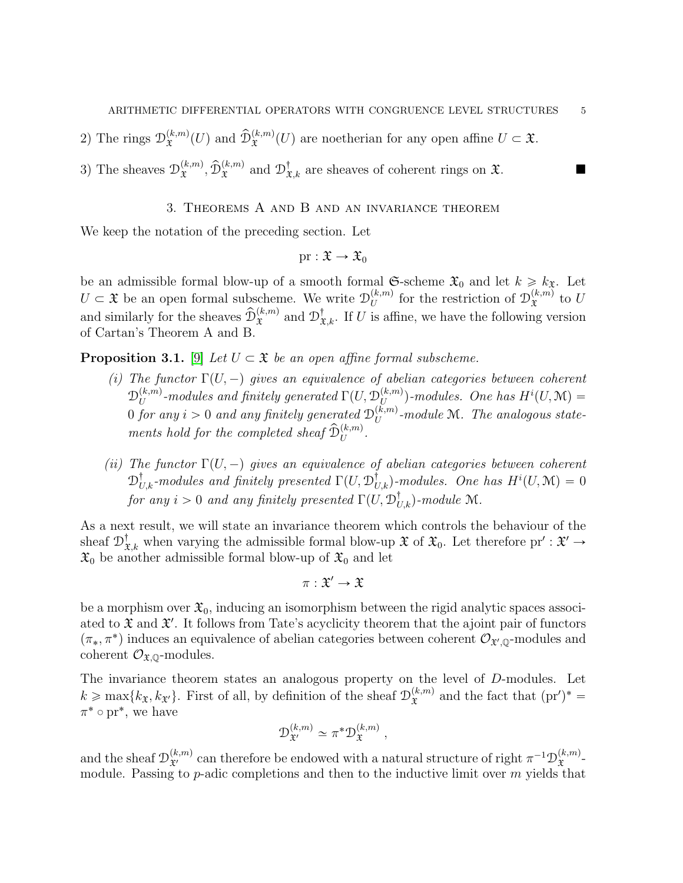2) The rings  $\mathcal{D}_{\tau}^{(k,m)}$  $(\mathcal{L}^{(k,m)}(U)$  and  $\widehat{\mathcal{D}}_{\mathfrak{X}}^{(k,m)}(U)$  are noetherian for any open affine  $U \subset \mathfrak{X}$ .

3) The sheaves 
$$
\mathcal{D}_{\mathfrak{X}}^{(k,m)}
$$
,  $\widehat{\mathcal{D}}_{\mathfrak{X}}^{(k,m)}$  and  $\mathcal{D}_{\mathfrak{X},k}^{\dagger}$  are sheaves of coherent rings on  $\mathfrak{X}$ .

## 3. Theorems A and B and an invariance theorem

<span id="page-4-0"></span>We keep the notation of the preceding section. Let

$$
\mathrm{pr}:\mathfrak{X}\to\mathfrak{X}_0
$$

be an admissible formal blow-up of a smooth formal  $\mathfrak{S}\text{-scheme } \mathfrak{X}_0$  and let  $k \geq k_{\mathfrak{X}}$ . Let  $U \subset \mathfrak{X}$  be an open formal subscheme. We write  $\mathcal{D}_U^{(k,m)}$  $\mathcal{U}^{(k,m)}$  for the restriction of  $\mathcal{D}_{\mathfrak{X}}^{(k,m)}$  $x^{(\kappa,m)}$  to  $U$ and similarly for the sheaves  $\hat{\mathcal{D}}_{\mathfrak{X}}^{(k,m)}$  and  $\mathcal{D}_{\mathfrak{X},k}^{\dagger}$ . If U is affine, we have the following version of Cartan's Theorem A and B.

**Proposition 3.1.** [\[9\]](#page-19-2) Let  $U \subset \mathfrak{X}$  be an open affine formal subscheme.

- (i) The functor  $\Gamma(U, -)$  gives an equivalence of abelian categories between coherent  $\mathcal{D}_{U}^{(k,m)}$  $U^{(k,m)}_U$ -modules and finitely generated  $\Gamma (U, \mathfrak{D}^{(k,m)}_U)$  $\binom{(k,m)}{U}$ -modules. One has  $H^i(U,\mathcal{M})=$  $0$  for any  $i > 0$  and any finitely generated  $\mathcal{D}_U^{(k,m)}$  $\mathcal{L}_{U}^{(\kappa,m)}$ -module M. The analogous statements hold for the completed sheaf  $\widehat{\mathcal{D}}_U^{(k,m)}$ .
- (ii) The functor  $\Gamma(U, -)$  gives an equivalence of abelian categories between coherent  $\mathfrak{D}^\dagger_{U,k}$ -modules and finitely presented  $\Gamma(U, \mathfrak{D}^\dagger_{U,k})$ -modules. One has  $H^i(U, \mathfrak{M}) = 0$ for any  $i > 0$  and any finitely presented  $\Gamma(U, \mathcal{D}^{\dagger}_{U,k})$ -module M.

As a next result, we will state an invariance theorem which controls the behaviour of the sheaf  $\mathcal{D}^{\dagger}_{\mathfrak{X},k}$  when varying the admissible formal blow-up  $\mathfrak{X}$  of  $\mathfrak{X}_0$ . Let therefore pr' :  $\mathfrak{X}' \to$  $\mathfrak{X}_0$  be another admissible formal blow-up of  $\mathfrak{X}_0$  and let

$$
\pi:\mathfrak{X}'\to\mathfrak{X}
$$

be a morphism over  $\mathfrak{X}_0$ , inducing an isomorphism between the rigid analytic spaces associated to  $\mathfrak X$  and  $\mathfrak X'$ . It follows from Tate's acyclicity theorem that the ajoint pair of functors  $(\pi_*, \pi^*)$  induces an equivalence of abelian categories between coherent  $\mathcal{O}_{\mathfrak{X}',\mathbb{Q}}$ -modules and coherent  $\mathcal{O}_{\mathfrak{X},\mathbb{Q}}$ -modules.

The invariance theorem states an analogous property on the level of D-modules. Let  $k \ge \max\{k_{\mathfrak{X}}, k_{\mathfrak{X}'}\}$ . First of all, by definition of the sheaf  $\mathcal{D}_{\mathfrak{X}}^{(k,m)}$  $\hat{x}^{(k,m)}$  and the fact that  $(pr')^* =$  $\pi^* \circ \text{pr}^*$ , we have

$$
\mathcal{D}_{\mathfrak{X}'}^{(k,m)} \simeq \pi^* \mathcal{D}_{\mathfrak{X}}^{(k,m)},
$$

and the sheaf  $\mathcal{D}^{(k,m)}_{\mathfrak{X}'}$  can therefore be endowed with a natural structure of right  $\pi^{-1}\mathcal{D}^{(k,m)}_{\mathfrak{X}}$  $\mathfrak{X}^{(\kappa,m)}$ module. Passing to  $p$ -adic completions and then to the inductive limit over  $m$  yields that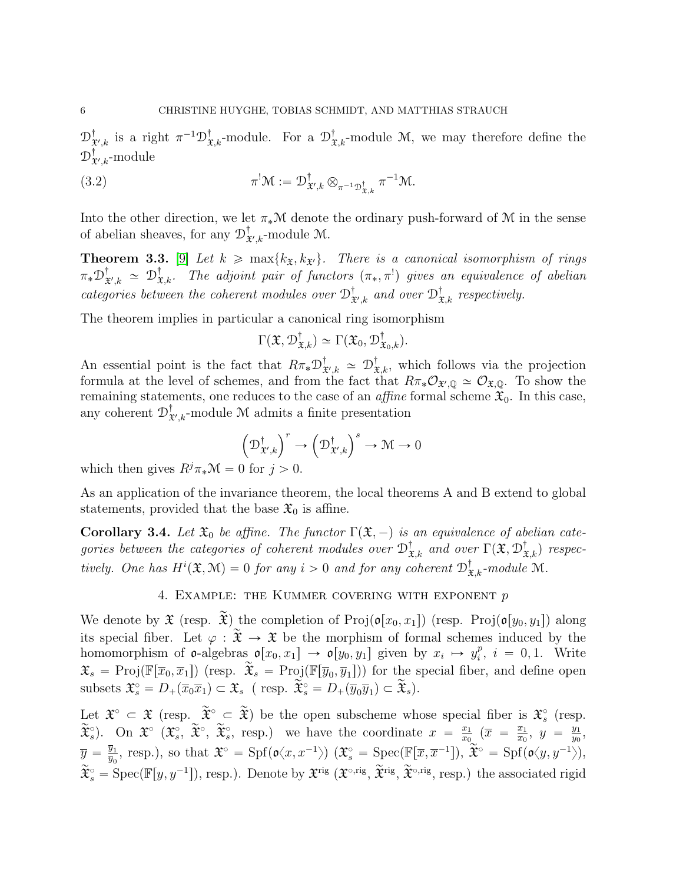$\mathcal{D}^{\dagger}_{\mathbf{1}}$  $\mathcal{L}_{\mathcal{X},k}^{\dagger}$  is a right  $\pi^{-1} \mathcal{D}_{\mathcal{X},k}^{\dagger}$ -module. For a  $\mathcal{D}_{\mathcal{X},k}^{\dagger}$ -module M, we may therefore define the  ${\mathcal{D}}_{\mathtt{3}}^{\dagger}$  $^{\mathbb{T}}_{\mathfrak{X}',k}$ -module

(3.2) 
$$
\pi^! \mathcal{M} := \mathcal{D}^{\dagger}_{\mathfrak{X}',k} \otimes_{\pi^{-1} \mathcal{D}^{\dagger}_{\mathfrak{X},k}} \pi^{-1} \mathcal{M}.
$$

Into the other direction, we let  $\pi_*\mathcal{M}$  denote the ordinary push-forward of M in the sense of abelian sheaves, for any  $\mathcal{D}_3^{\dagger}$  ${}^{\mathbb{T}}_{\mathfrak{X}',k}$ -module M.

**Theorem 3.3.** [\[9\]](#page-19-2) Let  $k \ge \max\{k_{\mathfrak{X}}, k_{\mathfrak{X}'}\}$ . There is a canonical isomorphism of rings  $\pi_*\mathfrak{D}^{\dagger}_{\mathfrak{X}}$  $\mathcal{L}^\dagger_{\mathfrak{X}',k}$   $\simeq$   $\mathcal{D}^\dagger_{\mathfrak{X},k}$ . The adjoint pair of functors  $(\pi_*,\pi^!)$  gives an equivalence of abelian categories between the coherent modules over  $\mathcal{D}_3^{\dagger}$  $_{x^{\prime},k}^{\dagger}$  and over  $\mathcal{D}_{x,k}^{\dagger}$  respectively.

The theorem implies in particular a canonical ring isomorphism

$$
\Gamma(\mathfrak{X}, \mathcal{D}^{\dagger}_{\mathfrak{X},k}) \simeq \Gamma(\mathfrak{X}_0, \mathcal{D}^{\dagger}_{\mathfrak{X}_0,k}).
$$

An essential point is the fact that  $R\pi_*\mathcal{D}_3^{\dagger}$  $\mathcal{L}^{\dagger}_{\mathcal{X},k} \simeq \mathcal{D}^{\dagger}_{\mathcal{X},k}$ , which follows via the projection formula at the level of schemes, and from the fact that  $R\pi_*\mathcal{O}_{\mathfrak{X}',\mathbb{Q}} \simeq \mathcal{O}_{\mathfrak{X},\mathbb{Q}}$ . To show the remaining statements, one reduces to the case of an *affine* formal scheme  $\mathfrak{X}_0$ . In this case, any coherent  $\mathcal{D}^{\dagger}_{\mathbf{a}}$  $X_{\mathcal{X}',k}$ -module M admits a finite presentation

$$
\left(\mathcal{D}^{\dagger}_{\mathfrak{X}',k}\right)^{r} \to \left(\mathcal{D}^{\dagger}_{\mathfrak{X}',k}\right)^{s} \to \mathcal{M} \to 0
$$

which then gives  $R^j \pi_* \mathcal{M} = 0$  for  $j > 0$ .

As an application of the invariance theorem, the local theorems A and B extend to global statements, provided that the base  $\mathfrak{X}_0$  is affine.

**Corollary 3.4.** Let  $\mathfrak{X}_0$  be affine. The functor  $\Gamma(\mathfrak{X},-)$  is an equivalence of abelian categories between the categories of coherent modules over  $\mathcal{D}^\dagger_{\mathfrak{X},k}$  and over  $\Gamma(\mathfrak{X}, \mathcal{D}^\dagger_{\mathfrak{X},k})$  respectively. One has  $H^i(\mathfrak{X}, \mathcal{M}) = 0$  for any  $i > 0$  and for any coherent  $\mathcal{D}^{\dagger}_{\mathfrak{X},k}$ -module M.

4. EXAMPLE: THE KUMMER COVERING WITH EXPONENT  $p$ 

<span id="page-5-0"></span>We denote by  $\mathfrak X$  (resp.  $\widetilde{\mathfrak X}$ ) the completion of Proj( $\mathfrak o[x_0, x_1]$ ) (resp. Proj( $\mathfrak o[y_0, y_1]$ ) along its special fiber. Let  $\varphi : \tilde{\mathfrak{X}} \to \mathfrak{X}$  be the morphism of formal schemes induced by the homomorphism of  $\mathfrak{o}$ -algebras  $\mathfrak{o}[x_0, x_1] \to \mathfrak{o}[y_0, y_1]$  given by  $x_i \mapsto y_i^p$  $i<sup>p</sup>$ ,  $i = 0, 1$ . Write  $\mathfrak{X}_s = \text{Proj}(\mathbb{F}[\overline{x}_0, \overline{x}_1])$  (resp.  $\widetilde{\mathfrak{X}}_s = \text{Proj}(\mathbb{F}[\overline{y}_0, \overline{y}_1]))$  for the special fiber, and define open subsets  $\mathfrak{X}_s^\circ = D_+(\overline{x}_0\overline{x}_1) \subset \mathfrak{X}_s$  (resp.  $\widetilde{\mathfrak{X}}_s^\circ = D_+(\overline{y}_0\overline{y}_1) \subset \widetilde{\mathfrak{X}}_s$ ).

Let  $\mathfrak{X}^{\circ} \subset \mathfrak{X}$  (resp.  $\widetilde{\mathfrak{X}}^{\circ} \subset \widetilde{\mathfrak{X}}$ ) be the open subscheme whose special fiber is  $\mathfrak{X}^{\circ}$  (resp.  $(\widetilde{\mathfrak{X}}_s^{\circ})$ . On  $\mathfrak{X}^{\circ}$   $(\widetilde{\mathfrak{X}}_s^{\circ}, \widetilde{\mathfrak{X}}_s^{\circ}, \widetilde{\mathfrak{X}}_s^{\circ}, \widetilde{\mathfrak{X}}_s^{\circ})$  we have the coordinate  $x = \frac{x_1}{x_0}$  $\frac{x_1}{x_0}$   $\left(\overline{x} \right) = \frac{\overline{x}_1}{\overline{x}_0}$  $\frac{\overline{x}_1}{\overline{x}_0}, y = \frac{y_1}{y_0}$  $\frac{y_1}{y_0}$ ,  $\overline{y} = \frac{\overline{y}_1}{\overline{u}_2}$  $\frac{\overline{y}_1}{\overline{y}_0}$ , resp.), so that  $\mathfrak{X}^{\circ} = \text{Spf}(\mathfrak{o}\langle x, x^{-1}\rangle)$   $(\mathfrak{X}^{\circ}_s = \text{Spec}(\mathbb{F}[\overline{x}, \overline{x}^{-1}]), \widetilde{\mathfrak{X}}^{\circ} = \text{Spf}(\mathfrak{o}\langle y, y^{-1}\rangle),$  $\widetilde{\mathfrak{X}}_s^{\circ} = \text{Spec}(\mathbb{F}[y, y^{-1}])$ , resp.). Denote by  $\mathfrak{X}^{\text{rig}}$   $(\mathfrak{X}^{\circ, \text{rig}}, \widetilde{\mathfrak{X}}^{\text{rig}}, \widetilde{\mathfrak{X}}^{\circ, \text{rig}}, \text{resp.})$  the associated rigid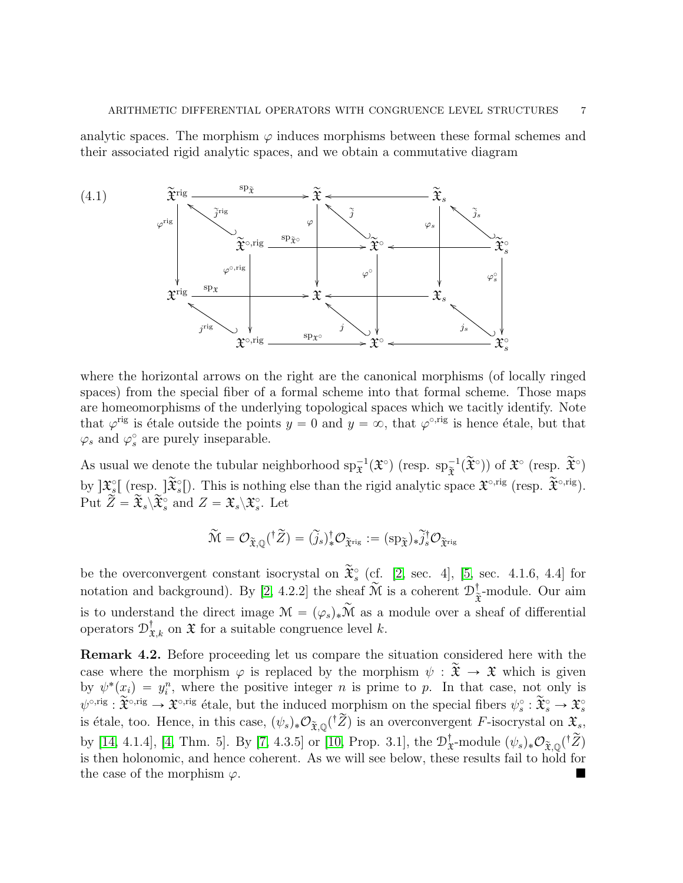analytic spaces. The morphism  $\varphi$  induces morphisms between these formal schemes and their associated rigid analytic spaces, and we obtain a commutative diagram



where the horizontal arrows on the right are the canonical morphisms (of locally ringed spaces) from the special fiber of a formal scheme into that formal scheme. Those maps are homeomorphisms of the underlying topological spaces which we tacitly identify. Note that  $\varphi^{\text{rig}}$  is étale outside the points  $y = 0$  and  $y = \infty$ , that  $\varphi^{\text{orig}}$  is hence étale, but that  $\varphi_s$  and  $\varphi_s^{\circ}$  are purely inseparable.

As usual we denote the tubular neighborhood  $sp_{\tilde{\mathfrak{X}}}^{-1}(\tilde{\mathfrak{X}}^{\circ})$  (resp.  $sp_{\tilde{\mathfrak{X}}}^{-1}(\tilde{\mathfrak{X}}^{\circ})$ ) of  $\tilde{\mathfrak{X}}^{\circ}$  (resp.  $\tilde{\mathfrak{X}}^{\circ}$ ) by  $\mathfrak{X}_{s}^{\circ}$  (resp.  $\widetilde{\mathfrak{X}}_{s}^{\circ}$ ). This is nothing else than the rigid analytic space  $\mathfrak{X}^{\circ,\mathrm{rig}}$  (resp.  $\widetilde{\mathfrak{X}}^{\circ,\mathrm{rig}}$ ). Put  $\overrightarrow{Z} = \widetilde{\mathfrak{X}}_s \backslash \widetilde{\mathfrak{X}}_s^{\circ}$  and  $Z = \mathfrak{X}_s \backslash \mathfrak{X}_s^{\circ}$ . Let

$$
\widetilde{\mathcal{M}}=\mathcal{O}_{\widetilde{\mathfrak{X}},\mathbb{Q}}({}^{\dagger}\widetilde{Z})=(\widetilde{j}_s)_*^{\dagger}\mathcal{O}_{\widetilde{\mathfrak{X}}^{\mathrm{rig}}}:=({\mathrm{sp}}_{\widetilde{\mathfrak{X}}})_*\widetilde{j}_s^{\dagger}\mathcal{O}_{\widetilde{\mathfrak{X}}^{\mathrm{rig}}}
$$

be the overconvergent constant isocrystal on  $\widetilde{\mathfrak{X}}_s^{\circ}$  (cf. [\[2,](#page-19-6) sec. 4], [\[5,](#page-19-8) sec. 4.1.6, 4.4] for notation and background). By [\[2,](#page-19-6) 4.2.2] the sheaf  $\widetilde{\mathcal{M}}$  is a coherent  $\mathcal{D}^{\dagger}_{\widetilde{\mathfrak{X}}}$ -module. Our aim is to understand the direct image  $\mathcal{M} = (\varphi_s)_*\widetilde{\mathcal{M}}$  as a module over a sheaf of differential operators  $\mathcal{D}^{\dagger}_{\mathfrak{X},k}$  on  $\mathfrak X$  for a suitable congruence level k.

Remark 4.2. Before proceeding let us compare the situation considered here with the case where the morphism  $\varphi$  is replaced by the morphism  $\psi : \tilde{\mathfrak{X}} \to \mathfrak{X}$  which is given by  $\psi^*(x_i) = y_i^n$ , where the positive integer n is prime to p. In that case, not only is  $\psi^{\circ,\text{rig}}$ :  $\widetilde{\mathfrak{X}}^{\circ,\text{rig}}$   $\rightarrow \mathfrak{X}^{\circ,\text{rig}}$  étale, but the induced morphism on the special fibers  $\psi_s^{\circ}$ :  $\widetilde{\mathfrak{X}}_s^{\circ} \rightarrow \mathfrak{X}_s^{\circ}$ is étale, too. Hence, in this case,  $(\psi_s)_*\mathcal{O}_{\widetilde{\mathfrak{X}},\mathbb{Q}}({}^{\dagger}\widetilde{Z})$  is an overconvergent F-isocrystal on  $\mathfrak{X}_s$ , by [\[14,](#page-19-9) 4.1.4], [\[4,](#page-19-10) Thm. 5]. By [\[7,](#page-19-11) 4.3.5] or [\[10,](#page-19-12) Prop. 3.1], the  $\mathcal{D}_3^{\dagger}$  $_{\mathbf{\tilde{x}}}^{\dagger}$ -module  $(\psi_s)_{*}\mathcal{O}_{\widetilde{\mathbf{\tilde{x}}},\mathbb{Q}}({}^{\dagger}\widetilde{Z})$ is then holonomic, and hence coherent. As we will see below, these results fail to hold for the case of the morphism  $\varphi$ .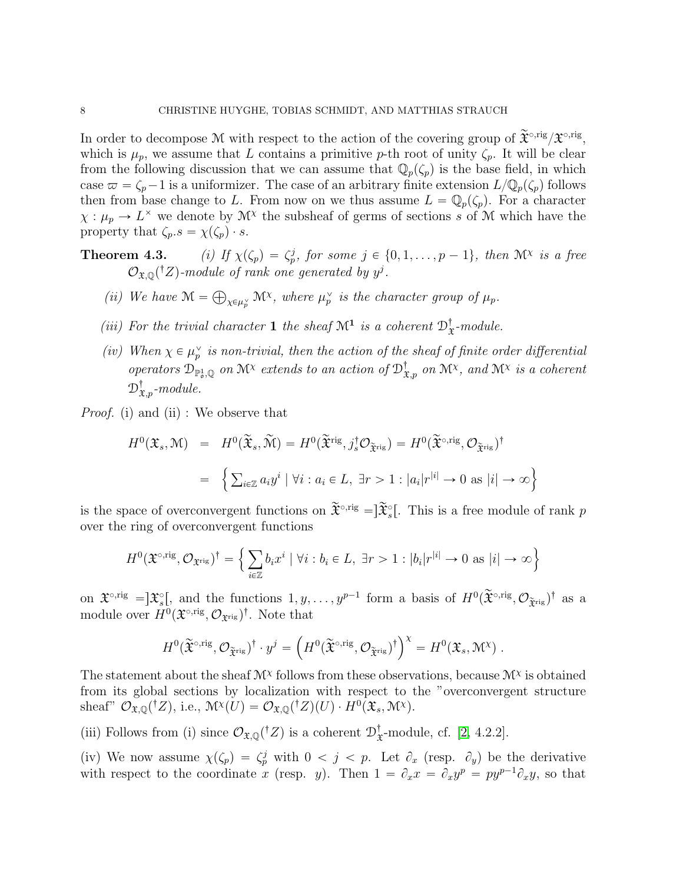In order to decompose M with respect to the action of the covering group of  $\widetilde{\mathfrak{X}}^{\circ,\text{rig}}/\mathfrak{X}^{\circ,\text{rig}},$ which is  $\mu_p$ , we assume that L contains a primitive p-th root of unity  $\zeta_p$ . It will be clear from the following discussion that we can assume that  $\mathbb{Q}_p(\zeta_p)$  is the base field, in which case  $\varpi = \zeta_p - 1$  is a uniformizer. The case of an arbitrary finite extension  $L/\mathbb{Q}_p(\zeta_p)$  follows then from base change to L. From now on we thus assume  $L = \mathbb{Q}_p(\zeta_p)$ . For a character  $\chi : \mu_p \to L^{\times}$  we denote by  $\mathcal{M}^{\chi}$  the subsheaf of germs of sections s of M which have the property that  $\zeta_p.s = \chi(\zeta_p) \cdot s$ .

- **Theorem 4.3.** (i) If  $\chi(\zeta_p) = \zeta_p^j$ , for some  $j \in \{0, 1, ..., p-1\}$ , then  $\mathcal{M}^{\chi}$  is a free  $\mathcal{O}_{\mathfrak{X},\mathbb{Q}}({}^{\dagger}Z)$ -module of rank one generated by  $y^j$ .
	- (*ii*) We have  $\mathcal{M} =$  $\chi \in \mu_p^{\vee}$  M<sup>x</sup>, where  $\mu_p^{\vee}$  is the character group of  $\mu_p$ .
	- (iii) For the trivial character 1 the sheaf  $\mathcal{M}^1$  is a coherent  $\mathcal{D}_3^{\dagger}$  $\frac{1}{x}$ -module.
	- (iv) When  $\chi \in \mu_p^{\vee}$  is non-trivial, then the action of the sheaf of finite order differential operators  $\mathfrak{D}_{\mathbb{P}_\sigma^1,\mathbb{Q}}$  on  $\mathcal{M}^\chi$  extends to an action of  $\mathfrak{D}_{\mathfrak{X},p}^\dagger$  on  $\mathcal{M}^\chi$ , and  $\mathcal{M}^\chi$  is a coherent  $\mathcal{D}^{\dagger}_{\mathfrak{X},p}$ -module.

Proof. (i) and (ii) : We observe that

$$
H^{0}(\mathfrak{X}_{s}, \mathcal{M}) = H^{0}(\widetilde{\mathfrak{X}}_{s}, \widetilde{\mathcal{M}}) = H^{0}(\widetilde{\mathfrak{X}}^{\text{rig}}, j_{s}^{\dagger} \mathcal{O}_{\widetilde{\mathfrak{X}}^{\text{rig}}}) = H^{0}(\widetilde{\mathfrak{X}}^{\circ, \text{rig}}, \mathcal{O}_{\widetilde{\mathfrak{X}}^{\text{rig}}})^{\dagger}
$$
  

$$
= \left\{ \sum_{i \in \mathbb{Z}} a_{i} y^{i} \mid \forall i : a_{i} \in L, \exists r > 1 : |a_{i}| r^{|i|} \to 0 \text{ as } |i| \to \infty \right\}
$$

is the space of overconvergent functions on  $\widetilde{\mathfrak{X}}^{\circ,\text{rig}} = \tilde{\mathfrak{X}}^{\circ}_{s}$ . This is a free module of rank p over the ring of overconvergent functions

$$
H^{0}(\mathfrak{X}^{\circ,\mathrm{rig}},\mathcal{O}_{\mathfrak{X}^{\mathrm{rig}}})^{\dagger} = \Big\{ \sum_{i\in\mathbb{Z}}b_{i}x^{i} \mid \forall i : b_{i}\in L, \exists r>1 : |b_{i}|r^{|i|} \to 0 \text{ as } |i|\to\infty \Big\}
$$

on  $\mathfrak{X}^{\circ,\text{rig}} = ]\mathfrak{X}^{\circ}_{s}[,$  and the functions  $1, y, \ldots, y^{p-1}$  form a basis of  $H^{0}(\widetilde{\mathfrak{X}}^{\circ,\text{rig}}, \mathcal{O}_{\widetilde{\mathfrak{X}}^{\text{rig}}})^{\dagger}$  as a module over  $H^0(\mathfrak{X}^{\circ,\mathrm{rig}},{\mathcal O}_{\mathfrak{X}^{\mathrm{rig}}})^{\dagger}$ . Note that

$$
H^0(\widetilde{\mathfrak{X}}^{\circ,\mathrm{rig}},\mathcal{O}_{\widetilde{\mathfrak{X}}^{\mathrm{rig}}})^\dagger\cdot y^j=\left(H^0(\widetilde{\mathfrak{X}}^{\circ,\mathrm{rig}},\mathcal{O}_{\widetilde{\mathfrak{X}}^{\mathrm{rig}}})^\dagger\right)^\chi=H^0(\mathfrak{X}_s,\mathcal{M}^\chi)\;.
$$

The statement about the sheaf  $\mathcal{M}^{\chi}$  follows from these observations, because  $\mathcal{M}^{\chi}$  is obtained from its global sections by localization with respect to the "overconvergent structure sheaf"  $\mathcal{O}_{\mathfrak{X},\mathbb{Q}}(^{\dagger}Z)$ , i.e.,  $\mathcal{M}^{\chi}(U) = \mathcal{O}_{\mathfrak{X},\mathbb{Q}}(^{\dagger}Z)(U) \cdot H^0(\mathfrak{X}_s,\mathcal{M}^{\chi})$ .

(iii) Follows from (i) since  $\mathcal{O}_{\mathfrak{X},\mathbb{Q}}({}^{\dagger}Z)$  is a coherent  $\mathcal{D}^{\dagger}_{\mathfrak{X}}$  $\frac{1}{x}$ -module, cf. [\[2,](#page-19-6) 4.2.2].

(iv) We now assume  $\chi(\zeta_p) = \zeta_p^j$  with  $0 < j < p$ . Let  $\partial_x$  (resp.  $\partial_y$ ) be the derivative with respect to the coordinate x (resp. y). Then  $1 = \partial_x x = \partial_x y^p = py^{p-1} \partial_x y$ , so that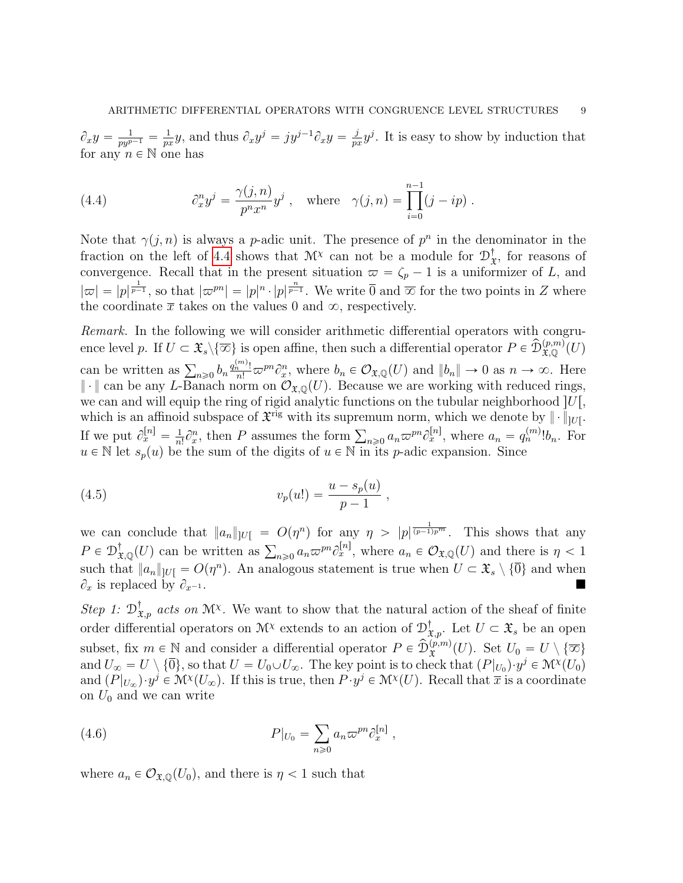$\partial_xy=\frac{1}{py^{p-1}}=\frac{1}{p^g}$  $\frac{1}{px}y$ , and thus  $\partial_x y^j = jy^{j-1}\partial_x y = \frac{j}{p^2}$  $\frac{j}{px}y^j$ . It is easy to show by induction that for any  $n \in \mathbb{N}$  one has

<span id="page-8-0"></span>(4.4) 
$$
\partial_x^n y^j = \frac{\gamma(j,n)}{p^n x^n} y^j , \text{ where } \gamma(j,n) = \prod_{i=0}^{n-1} (j - ip) .
$$

Note that  $\gamma(j, n)$  is always a p-adic unit. The presence of  $p^n$  in the denominator in the fraction on the left of [4.4](#page-8-0) shows that  $\mathcal{M}^{\chi}$  can not be a module for  $\mathcal{D}_{3}^{\dagger}$  $\mathbf{x}$ , for reasons of convergence. Recall that in the present situation  $\varpi = \zeta_p - 1$  is a uniformizer of L, and  $|\varpi| = |p|^{\frac{1}{p-1}}$ , so that  $|\varpi^{pn}| = |p|^n \cdot |p|^{\frac{n}{p-1}}$ . We write  $\overline{0}$  and  $\overline{\infty}$  for the two points in Z where the coordinate  $\bar{x}$  takes on the values 0 and  $\infty$ , respectively.

Remark. In the following we will consider arithmetic differential operators with congruence level p. If  $U \subset \mathfrak{X}_s \setminus \{ \overline{\infty} \}$  is open affine, then such a differential operator  $P \in \widehat{\mathcal{D}}_{\mathfrak{X},\mathbb{Q}}^{(p,m)}(U)$ can be written as  $\sum_{n\geqslant 0} b_n \frac{q_n^{(m)}!}{n!} \varpi^{pn} \partial_x^n$ , where  $b_n \in \mathcal{O}_{\mathfrak{X},\mathbb{Q}}(U)$  and  $||b_n|| \to 0$  as  $n \to \infty$ . Here  $\|\cdot\|$  can be any L-Banach norm on  $\mathcal{O}_{\mathfrak{X},\mathbb{O}}(U)$ . Because we are working with reduced rings, we can and will equip the ring of rigid analytic functions on the tubular neighborhood  $|U|$ , which is an affinoid subspace of  $\mathfrak{X}^{\text{rig}}$  with its supremum norm, which we denote by  $\|\cdot\|_{U}$ . If we put  $\partial_x^{[n]} = \frac{1}{n}$  $\frac{1}{n!} \partial_x^n$ , then P assumes the form  $\sum_{n\geq 0} a_n \varpi^{pn} \partial_x^{[n]}$ , where  $a_n = q_n^{(m)}! b_n$ . For  $u \in \mathbb{N}$  let  $s_p(u)$  be the sum of the digits of  $u \in \mathbb{N}$  in its p-adic expansion. Since

<span id="page-8-1"></span>(4.5) 
$$
v_p(u!) = \frac{u - s_p(u)}{p - 1} \;,
$$

we can conclude that  $||a_n||_{|U|} = O(\eta^n)$  for any  $\eta > |p|^{\frac{1}{(p-1)p^m}}$ . This shows that any we can conclude that  $||a_n||_{U} = O(\eta^2)$  for any  $\eta > |p|^{(p-1)p}$ . This shows that any  $P \in D_{\mathfrak{X},\mathbb{Q}}^{\dagger}(U)$  can be written as  $\sum_{n\geqslant 0} a_n \varpi^{pn} \partial_x^{[n]}$ , where  $a_n \in \mathcal{O}_{\mathfrak{X},\mathbb{Q}}(U)$  and there is  $\eta < 1$ such that  $||a_n||_{U} = O(\eta^n)$ . An analogous statement is true when  $U \subset \mathfrak{X}_s \setminus \{\overline{0}\}\$  and when  $\partial_x$  is replaced by  $\partial_{x^{-1}}$ .

Step 1:  $\mathcal{D}^{\dagger}_{\mathfrak{X},p}$  acts on  $\mathfrak{M}^{\chi}$ . We want to show that the natural action of the sheaf of finite order differential operators on  $\mathcal{M}^{\chi}$  extends to an action of  $\mathcal{D}^{\dagger}_{\mathfrak{X},p}$ . Let  $U \subset \mathfrak{X}_s$  be an open subset, fix  $m \in \mathbb{N}$  and consider a differential operator  $P \in \widehat{\mathcal{D}}_{\mathfrak{X}}^{(p,m)}(U)$ . Set  $U_0 = U \setminus {\overline{\infty}}$ and  $U_{\infty} = U \setminus \{\overline{0}\}\$ , so that  $U = U_0 \cup U_{\infty}$ . The key point is to check that  $(P|_{U_0}) \cdot y^j \in \mathcal{M}^{\chi}(U_0)$ and  $(P|_{U_{\infty}}) \cdot y^j \in \mathcal{M}^{\chi}(U_{\infty})$ . If this is true, then  $P \cdot y^j \in \mathcal{M}^{\chi}(U)$ . Recall that  $\overline{x}$  is a coordinate on  $U_0$  and we can write

<span id="page-8-2"></span>(4.6) 
$$
P|_{U_0} = \sum_{n\geq 0} a_n \varpi^{pn} \partial_x^{[n]},
$$

where  $a_n \in \mathcal{O}_{\mathfrak{X},\mathbb{Q}}(U_0)$ , and there is  $\eta < 1$  such that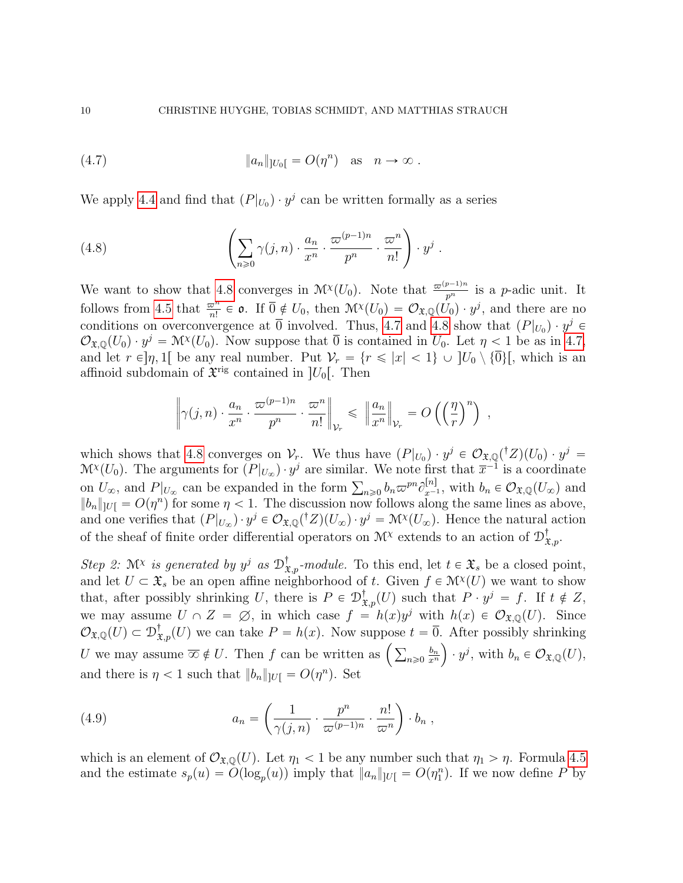<span id="page-9-1"></span>(4.7) 
$$
\|a_n\|_{]U_0[} = O(\eta^n) \text{ as } n \to \infty.
$$

We apply [4.4](#page-8-0) and find that  $(P|_{U_0}) \cdot y^j$  can be written formally as a series

<span id="page-9-0"></span>(4.8) 
$$
\left(\sum_{n\geqslant 0}\gamma(j,n)\cdot\frac{a_n}{x^n}\cdot\frac{\varpi^{(p-1)n}}{p^n}\cdot\frac{\varpi^n}{n!}\right)\cdot y^j.
$$

We want to show that [4.8](#page-9-0) converges in  $\mathcal{M}^{\chi}(U_0)$ . Note that  $\frac{\varpi^{(p-1)n}}{p^n}$  is a p-adic unit. It follows from [4.5](#page-8-1) that  $\frac{\omega^n}{n!} \in \mathfrak{o}$ . If  $\overline{0} \notin U_0$ , then  $\mathcal{M}^{\chi}(U_0) = \mathcal{O}_{\mathfrak{X},\mathbb{Q}}(\dot{U}_0) \cdot y^j$ , and there are no conditions on overconvergence at  $\overline{0}$  involved. Thus, [4.7](#page-9-1) and [4.8](#page-9-0) show that  $(P|_{U_0}) \cdot y^j \in$  $\mathcal{O}_{\mathfrak{X},\mathbb{Q}}(U_0)\cdot y^j=\mathcal{M}(\mathcal{U}_0)$ . Now suppose that  $\overline{0}$  is contained in  $U_0$ . Let  $\eta<1$  be as in [4.7,](#page-9-1) and let  $r \in ]\eta, 1[$  be any real number. Put  $\mathcal{V}_r = \{r \leq |x| < 1\} \cup [U_0 \setminus {\overline{0}}],$  which is an affinoid subdomain of  $\mathfrak{X}^{\text{rig}}$  contained in  $]U_0[$ . Then

$$
\left\|\gamma(j,n)\cdot\frac{a_n}{x^n}\cdot\frac{\varpi^{(p-1)n}}{p^n}\cdot\frac{\varpi^n}{n!}\right\|_{\mathcal{V}_r}\leq\ \left\|\frac{a_n}{x^n}\right\|_{\mathcal{V}_r}=O\left(\left(\frac{\eta}{r}\right)^n\right)\ ,
$$

which shows that [4.8](#page-9-0) converges on  $\mathcal{V}_r$ . We thus have  $(P|_{U_0}) \cdot y^j \in \mathcal{O}_{\mathfrak{X},\mathbb{Q}}({}^{\dagger}Z)(U_0) \cdot y^j =$  $\mathcal{M}^{\chi}(U_0)$ . The arguments for  $(P|_{U_{\infty}}) \cdot y^j$  are similar. We note first that  $\overline{x}^{-1}$  is a coordinate  $W^{(U_0)}$ . The arguments for  $(P|_{U_{\infty}}) \cdot y$  are similar. We note first that  $x^{-1}$  is a coordinate on  $U_{\infty}$ , and  $P|_{U_{\infty}}$  can be expanded in the form  $\sum_{n\geqslant 0} b_n \varpi^{pn} \partial_{x^{-1}}^{[n]}$ , with  $b_n \in \mathcal{O}_{\mathfrak{X},\mathbb{Q}}$  $||b_n||_{U} = O(\eta^n)$  for some  $\eta < 1$ . The discussion now follows along the same lines as above, and one verifies that  $(P|_{U_\infty}) \cdot y^j \in \mathcal{O}_{\mathfrak{X},\mathbb{Q}}({}^\dagger Z)(U_\infty) \cdot y^j = \mathcal{M}^{\chi}(U_\infty)$ . Hence the natural action of the sheaf of finite order differential operators on  $\mathcal{M}^{\chi}$  extends to an action of  $\mathcal{D}^{\dagger}_{\mathfrak{X},p}$ .

Step 2:  $\mathcal{M}^{\chi}$  is generated by  $y^{j}$  as  $\mathcal{D}^{\dagger}_{\mathfrak{X},p}$ -module. To this end, let  $t \in \mathfrak{X}_{s}$  be a closed point, and let  $U \subset \mathfrak{X}_s$  be an open affine neighborhood of t. Given  $f \in \mathcal{M}(\mathcal{U})$  we want to show that, after possibly shrinking U, there is  $P \in \mathcal{D}^{\dagger}_{\mathfrak{X},p}(U)$  such that  $P \cdot y^j = f$ . If  $t \notin Z$ , we may assume  $U \cap Z = \emptyset$ , in which case  $f = h(x)y^{j}$  with  $h(x) \in \mathcal{O}_{\mathfrak{X},\mathbb{Q}}(U)$ . Since  $\mathcal{O}_{\mathfrak{X},\mathbb{Q}}(U) \subset \mathcal{D}^{\dagger}_{\mathfrak{X},p}(U)$  we can take  $P = h(x)$ . Now suppose  $t = \overline{0}$ . After possibly shrinking  $\mathcal{O}_{\mathfrak{X},\mathbb{Q}}(U) \subset \mathcal{D}_{\mathfrak{X},p}(U)$  we can take  $P = h(x)$ . Now suppose  $t =$ <br>U we may assume  $\overline{\infty} \notin U$ . Then f can be written as  $\Big(\sum_{n\geqslant 0}$  $b_n$  $\left(\frac{b_n}{x^n}\right) \cdot y^j$ , with  $b_n \in \mathcal{O}_{\mathfrak{X},\mathbb{Q}}(U)$ , and there is  $\eta < 1$  such that  $||b_n||_{|U|} = O(\eta^n)$ . Set

(4.9) 
$$
a_n = \left(\frac{1}{\gamma(j,n)} \cdot \frac{p^n}{\varpi^{(p-1)n}} \cdot \frac{n!}{\varpi^n}\right) \cdot b_n,
$$

which is an element of  $\mathcal{O}_{\mathfrak{X},\mathbb{Q}}(U)$ . Let  $\eta_1 < 1$  be any number such that  $\eta_1 > \eta$ . Formula [4.5](#page-8-1) and the estimate  $s_p(u) = O(\log_p(u))$  imply that  $||a_n||_{|U|} = O(\eta_1^n)$ . If we now define P by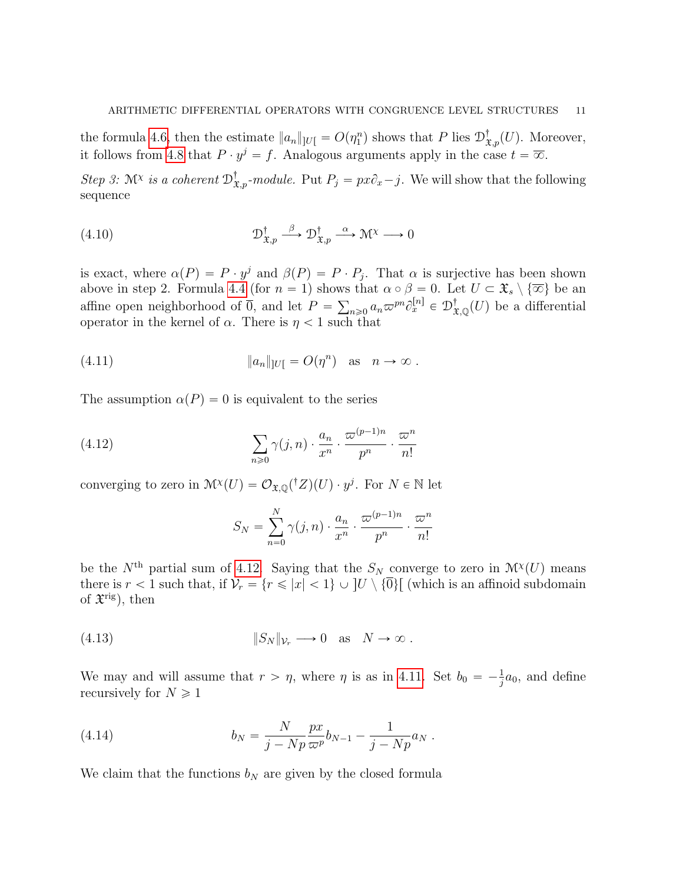the formula [4.6,](#page-8-2) then the estimate  $||a_n||_{|U} = O(\eta_1^n)$  shows that P lies  $\mathcal{D}^{\dagger}_{\mathfrak{X},p}(U)$ . Moreover, it follows from [4.8](#page-9-0) that  $P \cdot y^j = f$ . Analogous arguments apply in the case  $t = \overline{\infty}$ .

Step 3: M<sup>x</sup> is a coherent  $\mathcal{D}^{\dagger}_{\mathfrak{X},p}$ -module. Put  $P_j = px\partial_x - j$ . We will show that the following sequence

<span id="page-10-4"></span>(4.10) 
$$
\mathcal{D}_{\mathfrak{X},p}^{\dagger} \xrightarrow{\beta} \mathcal{D}_{\mathfrak{X},p}^{\dagger} \xrightarrow{\alpha} \mathcal{M}^{\chi} \longrightarrow 0
$$

is exact, where  $\alpha(P) = P \cdot y^j$  and  $\beta(P) = P \cdot P_j$ . That  $\alpha$  is surjective has been shown above in step 2. Formula [4.4](#page-8-0) (for  $n = 1$ ) shows that  $\alpha \circ \beta = 0$ . Let  $U \subset \mathfrak{X}_s \setminus {\overline{\infty}}$  be an affine open neighborhood of  $\overline{0}$ , and let  $P = \sum_{n\geqslant 0} a_n \varpi^{pn} \partial_x^{[n]} \in \mathcal{D}^{\dagger}_{\mathfrak{X},\mathbb{Q}}(U)$  be a differential operator in the kernel of  $\alpha$ . There is  $\eta < 1$  such that

(4.11) 
$$
\|a_n\|_{|U|} = O(\eta^n) \text{ as } n \to \infty.
$$

The assumption  $\alpha(P) = 0$  is equivalent to the series

(4.12) 
$$
\sum_{n\geqslant 0} \gamma(j,n) \cdot \frac{a_n}{x^n} \cdot \frac{\varpi^{(p-1)n}}{p^n} \cdot \frac{\varpi^n}{n!}
$$

converging to zero in  $\mathcal{M}^{\chi}(U) = \mathcal{O}_{\mathfrak{X},\mathbb{Q}}({}^{\dagger}Z)(U) \cdot y^j$ . For  $N \in \mathbb{N}$  let

<span id="page-10-3"></span><span id="page-10-1"></span><span id="page-10-0"></span>
$$
S_N = \sum_{n=0}^N \gamma(j,n) \cdot \frac{a_n}{x^n} \cdot \frac{\varpi^{(p-1)n}}{p^n} \cdot \frac{\varpi^n}{n!}
$$

be the  $N<sup>th</sup>$  partial sum of [4.12.](#page-10-0) Saying that the  $S_N$  converge to zero in  $\mathcal{M}^{\chi}(U)$  means there is  $r < 1$  such that, if  $\mathcal{V}_r = \{r \leq |x| < 1\} \cup [U \setminus {\overline{0}}]$  (which is an affinoid subdomain of  $\mathfrak{X}^{\text{rig}}$ ), then

(4.13) 
$$
||S_N||_{\mathcal{V}_r} \longrightarrow 0 \text{ as } N \to \infty.
$$

We may and will assume that  $r > \eta$ , where  $\eta$  is as in [4.11.](#page-10-1) Set  $b_0 = -\frac{1}{i}$  $\frac{1}{j}a_0$ , and define recursively for  $N \geq 1$ 

<span id="page-10-2"></span>(4.14) 
$$
b_N = \frac{N}{j - Np} \frac{px}{\varpi^p} b_{N-1} - \frac{1}{j - Np} a_N.
$$

We claim that the functions  $b_N$  are given by the closed formula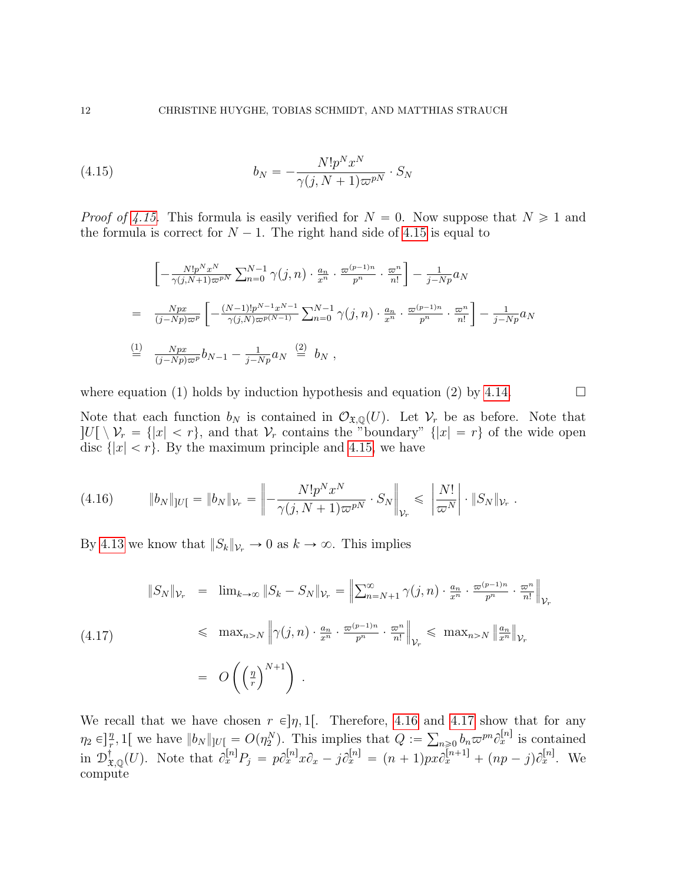(4.15) 
$$
b_N = -\frac{N!p^Nx^N}{\gamma(j,N+1)\varpi^{pN}} \cdot S_N
$$

*Proof of [4.15.](#page-11-0)* This formula is easily verified for  $N = 0$ . Now suppose that  $N \ge 1$  and the formula is correct for  $N - 1$ . The right hand side of [4.15](#page-11-0) is equal to

<span id="page-11-0"></span>
$$
\begin{aligned}\n& \left[ -\frac{N!p^Nx^N}{\gamma(j,N+1)\varpi^{pN}} \sum_{n=0}^{N-1} \gamma(j,n) \cdot \frac{a_n}{x^n} \cdot \frac{\varpi^{(p-1)n}}{p^n} \cdot \frac{\varpi^n}{n!} \right] - \frac{1}{j-Np} a_N \\
&= \frac{Npx}{(j-Np)\varpi^p} \left[ -\frac{(N-1)!p^{N-1}x^{N-1}}{\gamma(j,N)\varpi^{p(N-1)}} \sum_{n=0}^{N-1} \gamma(j,n) \cdot \frac{a_n}{x^n} \cdot \frac{\varpi^{(p-1)n}}{p^n} \cdot \frac{\varpi^n}{n!} \right] - \frac{1}{j-Np} a_N \\
& \stackrel{\text{(1)}}{=} \frac{Npx}{(j-Np)\varpi^p} b_{N-1} - \frac{1}{j-Np} a_N \stackrel{\text{(2)}}{=} b_N ,\n\end{aligned}
$$

where equation (1) holds by induction hypothesis and equation (2) by [4.14.](#page-10-2)

Note that each function  $b_N$  is contained in  $\mathcal{O}_{\mathfrak{X},\mathbb{Q}}(U)$ . Let  $\mathcal{V}_r$  be as before. Note that  $\vert U[\setminus \mathcal{V}_r = \{\vert x \vert < r\},\$ and that  $\mathcal{V}_r$  contains the "boundary"  $\vert x \vert = r\}$  of the wide open disc  $\{|x| < r\}$ . By the maximum principle and [4.15,](#page-11-0) we have

<span id="page-11-1"></span>(4.16) 
$$
||b_N||_{|U|} = ||b_N||_{\mathcal{V}_r} = \left\| -\frac{N!p^N x^N}{\gamma(j, N+1)\varpi^{pN}} \cdot S_N \right\|_{\mathcal{V}_r} \le \left| \frac{N!}{\varpi^N} \right| \cdot ||S_N||_{\mathcal{V}_r}.
$$

By [4.13](#page-10-3) we know that  $||S_k||_{\mathcal{V}_r} \to 0$  as  $k \to \infty$ . This implies

<span id="page-11-2"></span>
$$
\|S_N\|_{\mathcal{V}_r} = \lim_{k \to \infty} \|S_k - S_N\|_{\mathcal{V}_r} = \left\| \sum_{n=N+1}^{\infty} \gamma(j,n) \cdot \frac{a_n}{x^n} \cdot \frac{\varpi^{(p-1)n}}{p^n} \cdot \frac{\varpi^n}{n!} \right\|_{\mathcal{V}_r}
$$
  
(4.17)  

$$
\leq \max_{n>N} \left\| \gamma(j,n) \cdot \frac{a_n}{x^n} \cdot \frac{\varpi^{(p-1)n}}{p^n} \cdot \frac{\varpi^n}{n!} \right\|_{\mathcal{V}_r} \leq \max_{n>N} \left\| \frac{a_n}{x^n} \right\|_{\mathcal{V}_r}
$$

$$
= O\left(\left(\frac{n}{r}\right)^{N+1}\right).
$$

We recall that we have chosen  $r \in ]\eta, 1[$ . Therefore, [4.16](#page-11-1) and [4.17](#page-11-2) show that for any  $\eta_2 \in ]\frac{\eta}{r}, 1[$  we have  $||b_N||_{U} = O(\eta_2^N)$ . This implies that  $Q := \sum_{n\geqslant 0} b_n \varpi^{pn} \partial_x^{[n]}$  is contained in  $\mathcal{D}_{\mathfrak{X},\mathbb{Q}}^{\dagger}(U)$ . Note that  $\partial_x^{[n]}P_j = p\partial_x^{[n]}x\partial_x - j\partial_x^{[n]} = (n+1)px\partial_x^{[n+1]} + (np-j)\partial_x^{[n]}$ . We compute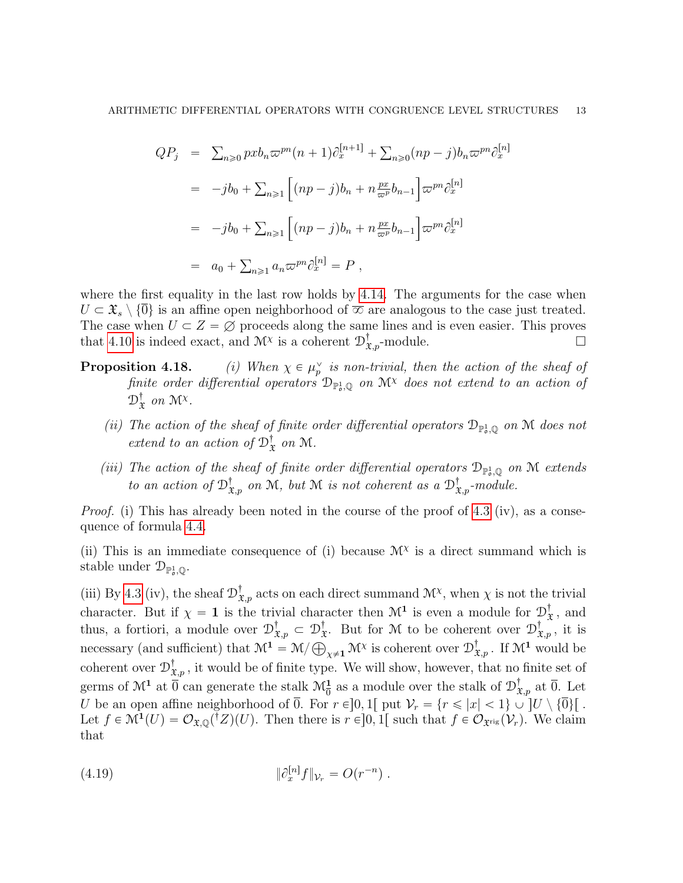$$
QP_j = \sum_{n\geq 0} pxb_n \varpi^{pn} (n+1) \partial_x^{[n+1]} + \sum_{n\geq 0} (np-j)b_n \varpi^{pn} \partial_x^{[n]}
$$
  

$$
= -jb_0 + \sum_{n\geq 1} \left[ (np-j)b_n + n \frac{px}{\varpi^p} b_{n-1} \right] \varpi^{pn} \partial_x^{[n]}
$$
  

$$
= -jb_0 + \sum_{n\geq 1} \left[ (np-j)b_n + n \frac{px}{\varpi^p} b_{n-1} \right] \varpi^{pn} \partial_x^{[n]}
$$
  

$$
= a_0 + \sum_{n\geq 1} a_n \varpi^{pn} \partial_x^{[n]} = P,
$$

where the first equality in the last row holds by [4.14.](#page-10-2) The arguments for the case when  $U \subset \mathfrak{X}_s \setminus \{0\}$  is an affine open neighborhood of  $\overline{\infty}$  are analogous to the case just treated. The case when  $U \subset Z = \emptyset$  proceeds along the same lines and is even easier. This proves that [4.10](#page-10-4) is indeed exact, and  $\mathcal{M}^{\chi}$  is a coherent  $\mathcal{D}^{\dagger}_{\mathfrak{X},p}$ -module.

- Proposition 4.18.  $\frac{v}{p}$  is non-trivial, then the action of the sheaf of finite order differential operators  $\mathcal{D}_{\mathbb{P}^1_\sigma,\mathbb{Q}}$  on  $\mathcal{M}^\chi$  does not extend to an action of  $\mathcal{D}^{\dagger}_{\mathbf{\mathfrak{p}}}$  $\frac{1}{x}$  on  $\mathcal{M}^{\chi}$ .
	- (ii) The action of the sheaf of finite order differential operators  $\mathcal{D}_{\mathbb{P}^1_o,\mathbb{Q}}$  on M does not extend to an action of  $\mathcal{D}_3^{\dagger}$  $x$  on M.
	- (iii) The action of the sheaf of finite order differential operators  $\mathcal{D}_{\mathbb{P}^1_0,\mathbb{Q}}$  on M extends to an action of  $\mathcal{D}^{\dagger}_{\mathfrak{X},p}$  on M, but M is not coherent as a  $\mathcal{D}^{\dagger}_{\mathfrak{X},p}$ -module.

Proof. (i) This has already been noted in the course of the proof of [4.3](#page-0-1) (iv), as a consequence of formula [4.4.](#page-8-0)

(ii) This is an immediate consequence of (i) because  $\mathcal{M}^{\chi}$  is a direct summand which is stable under  $\mathcal{D}_{\mathbb{P}^1_\mathfrak{o},\mathbb{Q}}$ .

(iii) By [4.3](#page-0-1) (iv), the sheaf  $\mathcal{D}^{\dagger}_{\mathfrak{X},p}$  acts on each direct summand  $\mathcal{M}^{\chi}$ , when  $\chi$  is not the trivial character. But if  $\chi = 1$  is the trivial character then  $\mathcal{M}^1$  is even a module for  $\mathcal{D}^{\dagger}_{3}$  $\frac{1}{x}$ , and thus, a fortiori, a module over  $\mathcal{D}_3^{\dagger}$  $\mathfrak{x}_{,p}^{\dagger}\subset\mathfrak{D}^{\dagger}_{\mathfrak{X}}$  $\mathcal{D}_{\mathfrak{X}}^{\dagger}$ . But for M to be coherent over  $\mathcal{D}_{\mathfrak{X},p}^{\dagger}$ , it is necessary (and sufficient) that  $\mathcal{M}^1 = \mathcal{M}/\bigoplus_{\chi\neq 1} \mathcal{M}^\chi$  is coherent over  $\mathcal{D}^{\dagger}_{\mathfrak{X},p}$ . If  $\mathcal{M}^1$  would be coherent over  $\mathcal{D}^{\dagger}_{\mathfrak{X},p}$ , it would be of finite type. We will show, however, that no finite set of germs of  $\mathcal{M}^1$  at  $\overline{0}$  can generate the stalk  $\mathcal{M}_{\overline{0}}^1$  as a module over the stalk of  $\mathcal{D}^{\dagger}_{\mathfrak{X},p}$  at  $\overline{0}$ . Let U be an open affine neighborhood of  $\overline{0}$ . For  $r \in ]0, 1[$  put  $\mathcal{V}_r = \{r \leq |x| < 1\} \cup [U \setminus \{\overline{0}\}]$ . Let  $f \in \mathcal{M}^1(U) = \mathcal{O}_{\mathfrak{X},\mathbb{Q}}({^{\dagger}Z})(U)$ . Then there is  $r \in ]0,1[$  such that  $f \in \mathcal{O}_{\mathfrak{X}^{\text{rig}}}(\mathcal{V}_r)$ . We claim that

<span id="page-12-0"></span>(4.19) 
$$
\|\partial_x^{[n]}f\|_{\mathcal{V}_r} = O(r^{-n}).
$$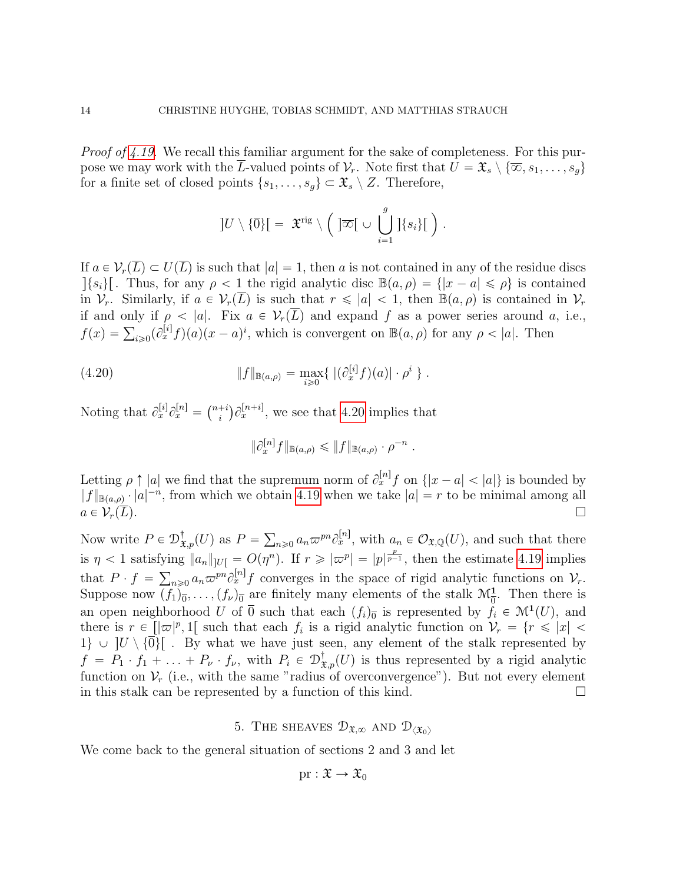Proof of [4.19.](#page-12-0) We recall this familiar argument for the sake of completeness. For this purpose we may work with the L-valued points of  $\mathcal{V}_r$ . Note first that  $U = \mathfrak{X}_s \setminus {\overline{\infty}, s_1, \ldots, s_g}$ for a finite set of closed points  $\{s_1, \ldots, s_g\} \subset \mathfrak{X}_s \setminus Z$ . Therefore,

$$
]U\setminus\{\overline{0}\}\big[ = \ \mathfrak{X}^{\text{rig}}\setminus\Big( \ ]\overline{\infty}[\ \cup \ \bigcup_{i=1}^g ]\{s_i\}[\ \Big)\ .
$$

If  $a \in \mathcal{V}_r(\overline{L}) \subset U(\overline{L})$  is such that  $|a| = 1$ , then a is not contained in any of the residue discs  $|\{s_i\}|$ . Thus, for any  $\rho < 1$  the rigid analytic disc  $\mathbb{B}(a, \rho) = \{|x - a| \leq \rho\}$  is contained in  $V_r$ . Similarly, if  $a \in V_r(\overline{L})$  is such that  $r \leq |a| < 1$ , then  $\mathbb{B}(a, \rho)$  is contained in  $V_r$ if and only if  $\rho < |a|$ . Fix  $a \in V_r(\overline{L})$  and expand f as a power series around a, i.e., if and only if  $\rho < |a|$ . Fix  $a \in V_r(L)$  and expand f as a power series around a<br>  $f(x) = \sum_{i \geq 0} (\partial_x^{[i]} f)(a)(x - a)^i$ , which is convergent on  $\mathbb{B}(a, \rho)$  for any  $\rho < |a|$ . Then

(4.20) 
$$
||f||_{\mathbb{B}(a,\rho)} = \max_{i \geq 0} \{ |(\partial_x^{[i]}f)(a)| \cdot \rho^i \}.
$$

Noting that  $\partial_x^{[i]} \partial_x^{[n]} =$  $(n+i)$ i  $\partial_x^{[n+i]}$ , we see that [4.20](#page-13-1) implies that

<span id="page-13-1"></span>
$$
\|\partial_x^{[n]}f\|_{\mathbb{B}(a,\rho)} \leqslant \|f\|_{\mathbb{B}(a,\rho)} \cdot \rho^{-n}
$$

.

Letting  $\rho \uparrow |a|$  we find that the supremum norm of  $\partial_x^{[n]} f$  on  $\{|x-a| < |a|\}$  is bounded by  $||f||_{\mathbb{B}(a,\rho)} \cdot |a|^{-n}$ , from which we obtain [4.19](#page-12-0) when we take  $|a| = r$  to be minimal among all  $a \in \mathcal{V}_r(\overline{L}).$ 

Now write  $P \in \mathcal{D}^{\dagger}_{\mathfrak{X},p}(U)$  as  $P =$  $a_n \in \mathcal{O}_{\mathfrak{X},\mathbb{Q}}(U)$ , and such that there is  $\eta < 1$  satisfying  $||a_n||_{|U} = O(\eta^n)$ . If  $r \geq |\varpi|^p = |p|^{\frac{p}{p-1}}$ , then the estimate [4.19](#page-12-0) implies that  $P \cdot f = \sum_{n\geq 0} a_n \varpi^{pn} \partial_x^{[n]} f$  converges in the space of rigid analytic functions on  $\mathcal{V}_r$ . Suppose now  $(f_1)_{\overline{0}}, \ldots, (f_{\nu})_{\overline{0}}$  are finitely many elements of the stalk  $\mathcal{M}_{\overline{0}}^1$ . Then there is an open neighborhood U of  $\overline{0}$  such that each  $(f_i)_{\overline{0}}$  is represented by  $f_i \in \mathcal{M}^1(U)$ , and there is  $r \in [|\varpi|^p, 1]$  such that each  $f_i$  is a rigid analytic function on  $\mathcal{V}_r = \{r \leq |x| < \pi \}$  $1\} \cup [U \setminus {\overline{0}}]$ . By what we have just seen, any element of the stalk represented by  $f = P_1 \cdot f_1 + \ldots + P_\nu \cdot f_\nu$ , with  $P_i \in \mathcal{D}^{\dagger}_{\mathfrak{X},p}(U)$  is thus represented by a rigid analytic function on  $\mathcal{V}_r$  (i.e., with the same "radius of overconvergence"). But not every element in this stalk can be represented by a function of this kind.  $\square$ 

5. THE SHEAVES  $\mathcal{D}_{\mathfrak{X},\infty}$  AND  $\mathcal{D}_{\langle \mathfrak{X}_0 \rangle}$ 

<span id="page-13-0"></span>We come back to the general situation of sections 2 and 3 and let

$$
\mathrm{pr}:\mathfrak{X}\to\mathfrak{X}_0
$$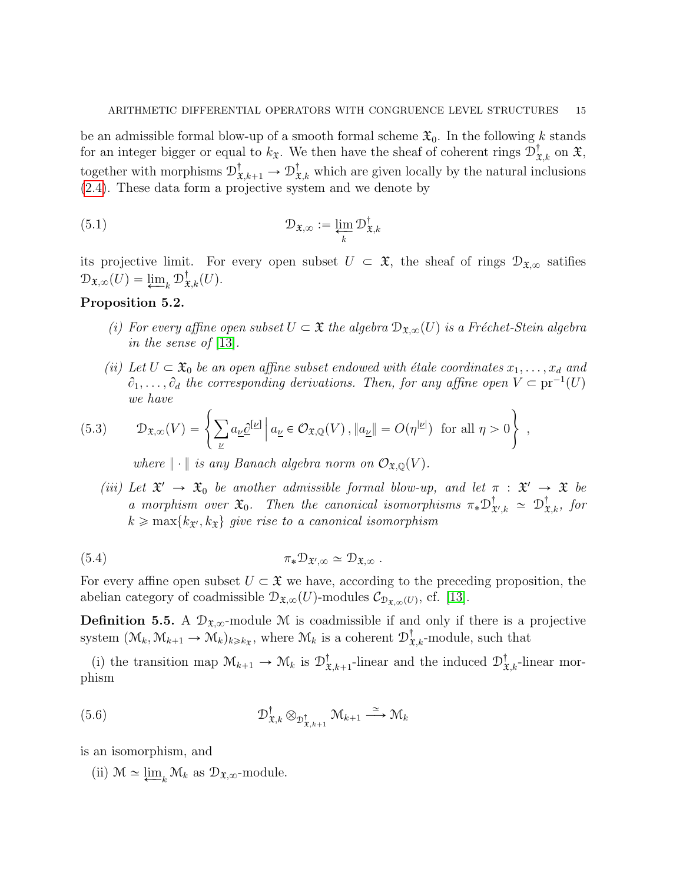be an admissible formal blow-up of a smooth formal scheme  $\mathfrak{X}_0$ . In the following k stands for an integer bigger or equal to  $k_{\mathfrak{X}}$ . We then have the sheaf of coherent rings  $\mathcal{D}^{\dagger}_{\mathfrak{X},k}$  on  $\mathfrak{X},$ together with morphisms  $\mathcal{D}^{\dagger}_{\mathfrak{X},k+1} \to \mathcal{D}^{\dagger}_{\mathfrak{X},k}$  which are given locally by the natural inclusions [\(2.4\)](#page-3-0). These data form a projective system and we denote by

(5.1) 
$$
\mathcal{D}_{\mathfrak{X},\infty} := \varprojlim_{k} \mathcal{D}_{\mathfrak{X},k}^{\dagger}
$$

its projective limit. For every open subset  $U \subset \mathfrak{X}$ , the sheaf of rings  $\mathcal{D}_{\mathfrak{X},\infty}$  satifies  $\mathcal{D}_{\mathfrak{X},\infty}(U) = \varprojlim_k \mathcal{D}_{\mathfrak{X},k}^{\dagger}(U).$ 

## Proposition 5.2.

- (i) For every affine open subset  $U \subset \mathfrak{X}$  the algebra  $\mathcal{D}_{\mathfrak{X},\infty}(U)$  is a Fréchet-Stein algebra in the sense of [\[13\]](#page-19-7).
- (ii) Let  $U \subset \mathfrak{X}_0$  be an open affine subset endowed with étale coordinates  $x_1, \ldots, x_d$  and  $\partial_1, \ldots, \partial_d$  the corresponding derivations. Then, for any affine open  $V \subset \text{pr}^{-1}(U)$ we have  $\frac{1}{2}$

$$
(5.3) \t\mathcal{D}_{\mathfrak{X},\infty}(V) = \left\{ \sum_{\underline{\nu}} a_{\underline{\nu}} \underline{\partial}^{[\underline{\nu}]} \, \middle| \, a_{\underline{\nu}} \in \mathcal{O}_{\mathfrak{X},\mathbb{Q}}(V), \Vert a_{\underline{\nu}} \Vert = O(\eta^{|\underline{\nu}|}) \text{ for all } \eta > 0 \right\} ,
$$

where  $\|\cdot\|$  is any Banach algebra norm on  $\mathcal{O}_{\mathfrak{X},\mathbb{Q}}(V)$ .

(iii) Let  $\mathfrak{X}' \to \mathfrak{X}_0$  be another admissible formal blow-up, and let  $\pi : \mathfrak{X}' \to \mathfrak{X}$  be a morphism over  $\mathfrak{X}_0$ . Then the canonical isomorphisms  $\pi_* \mathfrak{D}_\mathfrak{X}^\dagger$  $\mathbf{f}_{\mathfrak{X}',k}$   $\simeq$   $\mathcal{D}_{\mathfrak{X},k}^{\dagger}$ , for  $k \geq \max\{k_{\mathfrak{X}'}, k_{\mathfrak{X}}\}\$  give rise to a canonical isomorphism

(5.4) 
$$
\pi_* \mathcal{D}_{\mathfrak{X}',\infty} \simeq \mathcal{D}_{\mathfrak{X},\infty} .
$$

For every affine open subset  $U \subset \mathfrak{X}$  we have, according to the preceding proposition, the abelian category of coadmissible  $\mathcal{D}_{\mathfrak{X},\infty}(U)$ -modules  $\mathcal{C}_{\mathcal{D}_{\mathfrak{X},\infty}(U)}$ , cf. [\[13\]](#page-19-7).

**Definition 5.5.** A  $\mathcal{D}_{\mathfrak{X},\infty}$ -module M is coadmissible if and only if there is a projective system  $(\mathcal{M}_k, \mathcal{M}_{k+1} \to \mathcal{M}_k)_{k \geq k_{\mathfrak{X}}}$ , where  $\mathcal{M}_k$  is a coherent  $\mathcal{D}^{\dagger}_{\mathfrak{X},k}$ -module, such that

(i) the transition map  $\mathcal{M}_{k+1} \to \mathcal{M}_k$  is  $\mathcal{D}_{3}^{\dagger}$  $\mathcal{X}_{\mathcal{X},k+1}^{\dagger}$ -linear and the induced  $\mathcal{D}^{\dagger}_{\mathcal{X},k}$ -linear morphism

$$
(5.6) \t\t\t \mathcal{D}_{\mathfrak{X},k}^{\dagger} \otimes_{\mathcal{D}_{\mathfrak{X},k+1}^{\dagger}} \mathcal{M}_{k+1} \xrightarrow{\simeq} \mathcal{M}_{k}
$$

is an isomorphism, and

(ii)  $\mathcal{M} \simeq \underline{\lim}_{k} \mathcal{M}_{k}$  as  $\mathcal{D}_{\mathfrak{X},\infty}$ -module.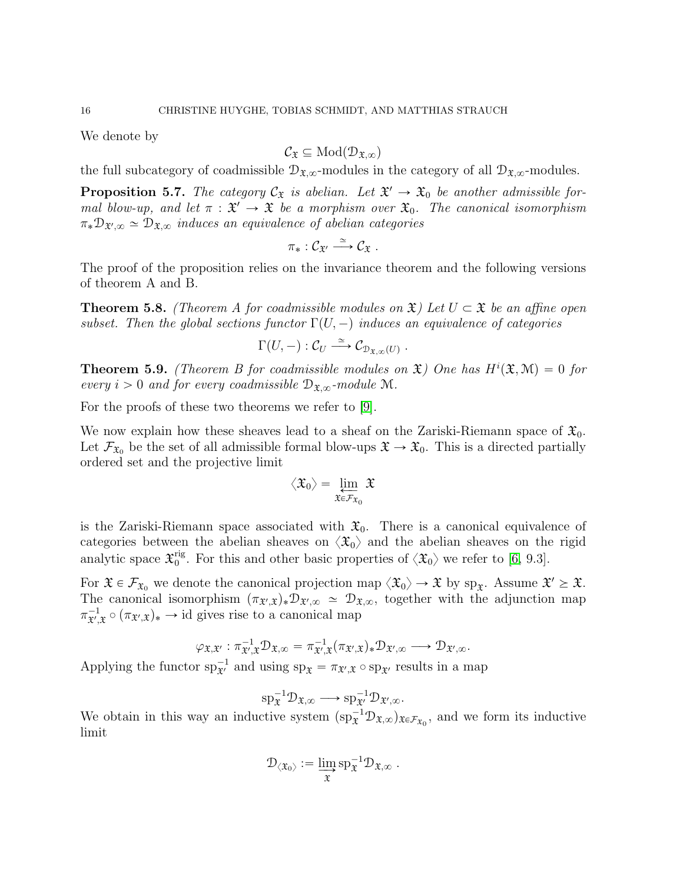We denote by

$$
\mathcal{C}_{\mathfrak{X}}\subseteq \mathrm{Mod}(\mathcal{D}_{\mathfrak{X},\infty})
$$

the full subcategory of coadmissible  $\mathcal{D}_{\mathfrak{X},\infty}$ -modules in the category of all  $\mathcal{D}_{\mathfrak{X},\infty}$ -modules.

<span id="page-15-0"></span>**Proposition 5.7.** The category  $C_x$  is abelian. Let  $\mathfrak{X}' \to \mathfrak{X}_0$  be another admissible formal blow-up, and let  $\pi : \mathfrak{X}' \to \mathfrak{X}$  be a morphism over  $\mathfrak{X}_0$ . The canonical isomorphism  $\pi_* \mathcal{D}_{\mathfrak{X}',\infty} \simeq \mathcal{D}_{\mathfrak{X},\infty}$  induces an equivalence of abelian categories

$$
\pi_*: \mathcal{C}_{\mathfrak{X}'} \stackrel{\simeq}{\longrightarrow} \mathcal{C}_{\mathfrak{X}} .
$$

The proof of the proposition relies on the invariance theorem and the following versions of theorem A and B.

**Theorem 5.8.** (Theorem A for coadmissible modules on  $\mathfrak{X}$ ) Let  $U \subset \mathfrak{X}$  be an affine open subset. Then the global sections functor  $\Gamma(U, -)$  induces an equivalence of categories

$$
\Gamma(U,-): \mathcal{C}_U \stackrel{\simeq}{\longrightarrow} \mathcal{C}_{\mathfrak{D}_{\mathfrak{X},\infty}(U)}.
$$

**Theorem 5.9.** (Theorem B for coadmissible modules on  $\mathfrak{X}$ ) One has  $H^{i}(\mathfrak{X}, \mathcal{M}) = 0$  for every  $i > 0$  and for every coadmissible  $\mathcal{D}_{\mathfrak{X},\infty}$ -module M.

For the proofs of these two theorems we refer to [\[9\]](#page-19-2).

We now explain how these sheaves lead to a sheaf on the Zariski-Riemann space of  $\mathfrak{X}_0$ . Let  $\mathcal{F}_{\mathfrak{X}_0}$  be the set of all admissible formal blow-ups  $\mathfrak{X} \to \mathfrak{X}_0$ . This is a directed partially ordered set and the projective limit

$$
\big\langle\mathfrak{X}_0\big\rangle=\varprojlim_{\mathfrak{X}\in\mathcal{F}_{\mathfrak{X}_0}}\mathfrak{X}
$$

is the Zariski-Riemann space associated with  $\mathfrak{X}_0$ . There is a canonical equivalence of categories between the abelian sheaves on  $\langle \mathfrak{X}_0 \rangle$  and the abelian sheaves on the rigid analytic space  $\mathfrak{X}_0^{\text{rig}}$ <sup>rig</sup>. For this and other basic properties of  $\langle \mathfrak{X}_0 \rangle$  we refer to [\[6,](#page-19-13) 9.3].

For  $\mathfrak{X} \in \mathcal{F}_{\mathfrak{X}_0}$  we denote the canonical projection map  $\langle \mathfrak{X}_0 \rangle \to \mathfrak{X}$  by  $sp_{\mathfrak{X}}$ . Assume  $\mathfrak{X}' \geq \mathfrak{X}$ . The canonical isomorphism  $(\pi_{\mathfrak{X}',\mathfrak{X}})_*\mathcal{D}_{\mathfrak{X}',\infty} \simeq \mathcal{D}_{\mathfrak{X},\infty}$ , together with the adjunction map  $\pi^{-1}_{\mathfrak{X}',\mathfrak{X}} \circ (\pi_{\mathfrak{X}',\mathfrak{X}})_* \to id$  gives rise to a canonical map

$$
\varphi_{\mathfrak{X},\mathfrak{X}'} : \pi_{\mathfrak{X}',\mathfrak{X}}^{-1} \mathcal{D}_{\mathfrak{X},\infty} = \pi_{\mathfrak{X}',\mathfrak{X}}^{-1} (\pi_{\mathfrak{X}',\mathfrak{X}})_* \mathcal{D}_{\mathfrak{X}',\infty} \longrightarrow \mathcal{D}_{\mathfrak{X}',\infty}.
$$

Applying the functor  $sp_{\tilde{x}'}^{-1}$  and using  $sp_{\tilde{x}} = \pi_{\tilde{x}',\tilde{x}} \circ sp_{\tilde{x}'}$  results in a map

$$
\mathrm{sp}_{\mathfrak{X}}^{-1} \mathcal{D}_{\mathfrak{X}, \infty} \longrightarrow \mathrm{sp}_{\mathfrak{X}'}^{-1} \mathcal{D}_{\mathfrak{X}', \infty}.
$$

We obtain in this way an inductive system  $(sp_{\mathfrak{X}}^{-1}D_{\mathfrak{X},\infty})_{\mathfrak{X}\in\mathcal{F}_{\mathfrak{X}_0}}$ , and we form its inductive limit

$$
\mathcal{D}_{\langle \mathfrak{X}_0 \rangle} := \varinjlim_{\mathfrak{X}} \mathrm{sp}_{\mathfrak{X}}^{-1} \mathcal{D}_{\mathfrak{X}, \infty} \; .
$$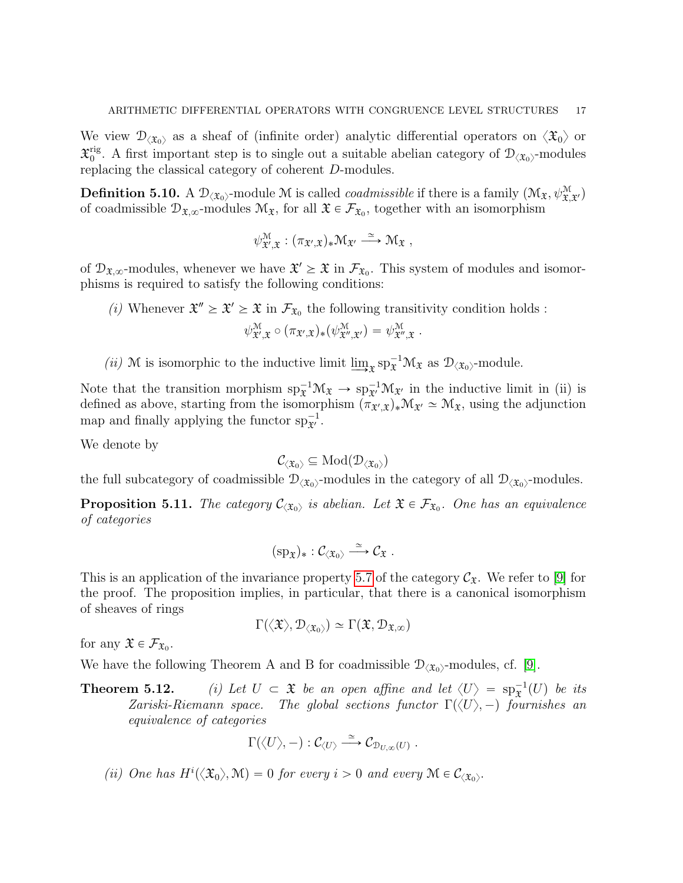We view  $\mathcal{D}_{\langle \mathfrak{X}_0 \rangle}$  as a sheaf of (infinite order) analytic differential operators on  $\langle \mathfrak{X}_0 \rangle$  or  $\mathfrak X_0^{\mathrm{rig}}$ <sup>rig</sup>. A first important step is to single out a suitable abelian category of  $\mathcal{D}_{\langle \mathfrak{X}_0 \rangle}$ -modules replacing the classical category of coherent D-modules.

**Definition 5.10.** A  $\mathcal{D}_{\langle\mathfrak{X}_0\rangle}$ -module M is called *coadmissible* if there is a family  $(\mathcal{M}_{\mathfrak{X}}, \psi_{\mathfrak{X},\mathfrak{X}}^{\mathfrak{M}})$ of coadmissible  $\mathcal{D}_{\mathfrak{X},\infty}$ -modules  $\mathcal{M}_{\mathfrak{X}}$ , for all  $\mathfrak{X} \in \mathcal{F}_{\mathfrak{X}_0}$ , together with an isomorphism

$$
\psi^{\mathcal{M}}_{\mathfrak{X}',\mathfrak{X}}:(\pi_{\mathfrak{X}',\mathfrak{X}})_*\mathfrak{M}_{\mathfrak{X}'}\stackrel{\simeq}{\longrightarrow}\mathfrak{M}_{\mathfrak{X}}\ ,
$$

of  $\mathcal{D}_{\mathfrak{X},\infty}$ -modules, whenever we have  $\mathfrak{X}' \geq \mathfrak{X}$  in  $\mathcal{F}_{\mathfrak{X}_0}$ . This system of modules and isomorphisms is required to satisfy the following conditions:

(*i*) Whenever  $\mathfrak{X}'' \geq \mathfrak{X} \geq \mathfrak{X}$  in  $\mathcal{F}_{\mathfrak{X}_0}$  the following transitivity condition holds :

$$
\psi^{\mathcal{M}}_{\mathfrak{X}',\mathfrak{X}} \circ (\pi_{\mathfrak{X}',\mathfrak{X}})_*(\psi^{\mathcal{M}}_{\mathfrak{X}'',\mathfrak{X}'}) = \psi^{\mathcal{M}}_{\mathfrak{X}'',\mathfrak{X}}.
$$

(*ii*) M is isomorphic to the inductive limit  $\varinjlim_{\mathfrak{X}} sp_{\mathfrak{X}}^{-1} \mathcal{M}_{\mathfrak{X}}$  as  $\mathcal{D}_{\langle \mathfrak{X}_0 \rangle}$ -module.

Note that the transition morphism  $sp_{\tilde{x}}^{-1} \mathcal{M}_{\tilde{x}} \to sp_{\tilde{x}}^{-1} \mathcal{M}_{\tilde{x}}$  in the inductive limit in (ii) is defined as above, starting from the isomorphism  $(\pi_{\mathfrak{X}',\mathfrak{X}})_*\mathcal{M}_{\mathfrak{X}'} \simeq \mathcal{M}_{\mathfrak{X}}$ , using the adjunction map and finally applying the functor  $sp_{\mathfrak{X}'}^{-1}$ .

We denote by

$$
\mathcal{C}_{\langle \mathfrak{X}_0 \rangle} \subseteq \mathrm{Mod}(\mathcal{D}_{\langle \mathfrak{X}_0 \rangle})
$$

the full subcategory of coadmissible  $\mathcal{D}_{\langle\mathfrak{X}_0\rangle}$ -modules in the category of all  $\mathcal{D}_{\langle\mathfrak{X}_0\rangle}$ -modules.

**Proposition 5.11.** The category  $C_{\langle \mathfrak{X}_0 \rangle}$  is abelian. Let  $\mathfrak{X} \in \mathcal{F}_{\mathfrak{X}_0}$ . One has an equivalence of categories

$$
(\mathrm{sp}_{\mathfrak{X}})_{*}:\mathcal{C}_{\langle\mathfrak{X}_0\rangle}\stackrel{\simeq}{\longrightarrow}\mathcal{C}_{\mathfrak{X}}\;.
$$

This is an application of the invariance property [5.7](#page-15-0) of the category  $\mathcal{C}_{\mathfrak{X}}$ . We refer to [\[9\]](#page-19-2) for the proof. The proposition implies, in particular, that there is a canonical isomorphism of sheaves of rings

$$
\Gamma(\langle \mathfrak{X} \rangle, \mathcal{D}_{\langle \mathfrak{X}_0 \rangle}) \simeq \Gamma(\mathfrak{X}, \mathcal{D}_{\mathfrak{X}, \infty})
$$

for any  $\mathfrak{X} \in \mathcal{F}_{\mathfrak{X}_0}$ .

We have the following Theorem A and B for coadmissible  $\mathcal{D}_{\langle \mathfrak{X}_0 \rangle}$ -modules, cf. [\[9\]](#page-19-2).

**Theorem 5.12.** (i) Let  $U \subset \mathfrak{X}$  be an open affine and let  $\langle U \rangle = sp_{\mathfrak{X}}^{-1}(U)$  be its Zariski-Riemann space. The global sections functor  $\Gamma(\langle U \rangle, -)$  fournishes an equivalence of categories

$$
\Gamma(\langle U \rangle,-): \mathcal{C}_{\langle U \rangle} \stackrel{\simeq}{\longrightarrow} \mathcal{C}_{\mathfrak{D}_{U,\infty}(U)} .
$$

(ii) One has  $H^i(\langle \mathfrak{X}_0 \rangle, \mathfrak{M}) = 0$  for every  $i > 0$  and every  $\mathfrak{M} \in C_{\langle \mathfrak{X}_0 \rangle}$ .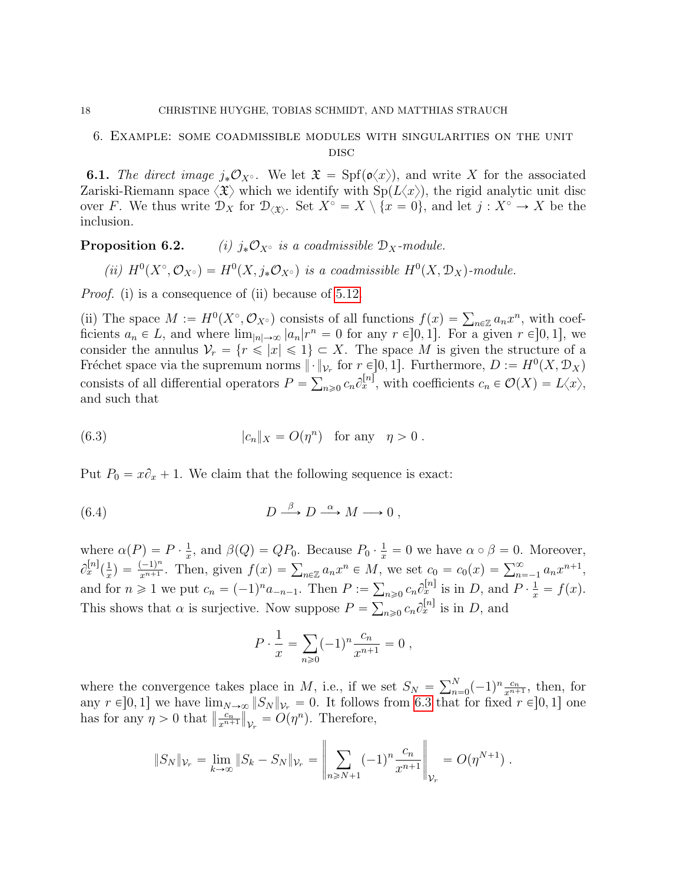## <span id="page-17-0"></span>6. Example: some coadmissible modules with singularities on the unit **DISC**

**6.1.** The direct image  $j_*\mathcal{O}_{X^\circ}$ . We let  $\mathfrak{X} = \text{Spf}(\mathfrak{o}\langle x\rangle)$ , and write X for the associated Zariski-Riemann space  $\langle \mathfrak{X} \rangle$  which we identify with  $\text{Sp}(L\langle x \rangle)$ , the rigid analytic unit disc over F. We thus write  $\mathcal{D}_X$  for  $\mathcal{D}_{\langle \mathfrak{X} \rangle}$ . Set  $X^{\circ} = X \setminus \{x = 0\}$ , and let  $j : X^{\circ} \to X$  be the inclusion.

**Proposition 6.2.** (i)  $i_*\mathcal{O}_{X^{\circ}}$  is a coadmissible  $\mathcal{D}_X$ -module.

(ii)  $H^0(X^{\circ}, \mathcal{O}_{X^{\circ}}) = H^0(X, j_*\mathcal{O}_{X^{\circ}})$  is a coadmissible  $H^0(X, \mathcal{D}_X)$ -module.

*Proof.* (i) is a consequence of (ii) because of [5.12.](#page-0-1)

(ii) The space  $M := H^0(X^{\circ}, \mathcal{O}_{X^{\circ}})$  consists of all functions  $f(x) = \sum_{n \in \mathbb{Z}} a_n x^n$ , with coefficients  $a_n \in L$ , and where  $\lim_{|n| \to \infty} |a_n|r^n = 0$  for any  $r \in ]0, 1]$ . For a given  $r \in ]0, 1]$ , we consider the annulus  $V_r = \{r \leq |x| \leq 1\} \subset X$ . The space M is given the structure of a Fréchet space via the supremum norms  $\|\cdot\|_{\mathcal{V}_r}$  for  $r \in ]0,1]$ . Furthermore,  $D := H^0(X, \mathcal{D}_X)$ consists of all differential operators  $P = \sum_{n\geqslant 0} c_n \partial_x^{[n]}$ , with coefficients  $c_n \in \mathcal{O}(X) = L\langle x \rangle$ , and such that

<span id="page-17-1"></span>(6.3) 
$$
|c_n|_X = O(\eta^n) \text{ for any } \eta > 0.
$$

Put  $P_0 = x\partial_x + 1$ . We claim that the following sequence is exact:

(6.4) 
$$
D \stackrel{\beta}{\longrightarrow} D \stackrel{\alpha}{\longrightarrow} M \longrightarrow 0,
$$

where  $\alpha(P) = P \cdot \frac{1}{x}$  $\frac{1}{x}$ , and  $\beta(Q) = QP_0$ . Because  $P_0 \cdot \frac{1}{x} = 0$  we have  $\alpha \circ \beta = 0$ . Moreover,  $\partial_x^{[n]}(\frac{1}{x}% ,\overline{u})\equiv\sum_{\sigma=0}^{n-1}(\overline{\partial}_{\sigma}^{x}(\overline{u}))\equiv\sum_{\sigma=0}^{\infty}(\overline{\partial}_{\sigma}^{x}(\overline{u}))\equiv\sum_{\sigma=0}^{\infty}(\overline{\partial}_{\sigma}^{x}(\overline{u}))\equiv\sum_{\sigma=0}^{\infty}(\overline{\partial}_{\sigma}^{x}(\overline{u}))\equiv\sum_{\sigma=0}^{\infty}(\overline{\partial}_{\sigma}^{x}(\overline{u}))\equiv\sum_{\sigma=0}^{\infty}(\overline{\partial}_{\sigma}^{x}(\overline{u}))\$  $\frac{1}{x}$ ) =  $\frac{(-1)^n}{x^{n+1}}$  $\sum_{x=1}^{\infty}$   $\sum_{x=1}^{\infty}$  and  $p(Q) = QT_0$ . Because  $T_0 \cdot \frac{1}{x} = 0$  we have  $\alpha \circ p = 0$ . Moreover,<br>  $\sum_{x=1}^{\infty}$   $\sum_{x=1}^{\infty}$  angle  $f(x) = \sum_{n \in \mathbb{Z}} a_n x^n \in M$ , we set  $c_0 = c_0(x) = \sum_{n=-1}^{\infty} a_n x^{n+1}$ , and for  $n \geq 1$  we put  $c_n = (-1)^n a_{-n-1}$ . Then  $P := \sum_{n\geq 0} c_n \partial_x^{[n]}$  is in D, and  $P \cdot \frac{1}{x} = f(x)$ . This shows that  $\alpha$  is surjective. Now suppose  $P = \sum_{n\geqslant 0} c_n \partial_x^{[n]}$  is in D, and

<span id="page-17-2"></span>
$$
P \cdot \frac{1}{x} = \sum_{n \ge 0} (-1)^n \frac{c_n}{x^{n+1}} = 0,
$$

where the convergence takes place in M, i.e., if we set  $S_N = \sum_{n=1}^N$  $_{n=0}^{N}(-1)^{n}\frac{c_{n}}{x^{n+1}}$  $\frac{c_n}{x^{n+1}}, \text{ then, for}$ any  $r \in ]0,1]$  we have  $\lim_{N\to\infty} ||S_N||_{\mathcal{V}_r} = 0$ . It follows from [6.3](#page-17-1) that for fixed  $r \in ]0,1]$  one has for any  $\eta > 0$  that  $\left\| \frac{c_n}{x^{n+1}} \right\|$  $\overline{x^{n+1}}$ ∣∣<br>∣  $v_r = O(\eta^n)$ . Therefore,

$$
||S_N||_{\mathcal{V}_r} = \lim_{k \to \infty} ||S_k - S_N||_{\mathcal{V}_r} = \left\| \sum_{n \geq N+1} (-1)^n \frac{c_n}{x^{n+1}} \right\|_{\mathcal{V}_r} = O(\eta^{N+1}).
$$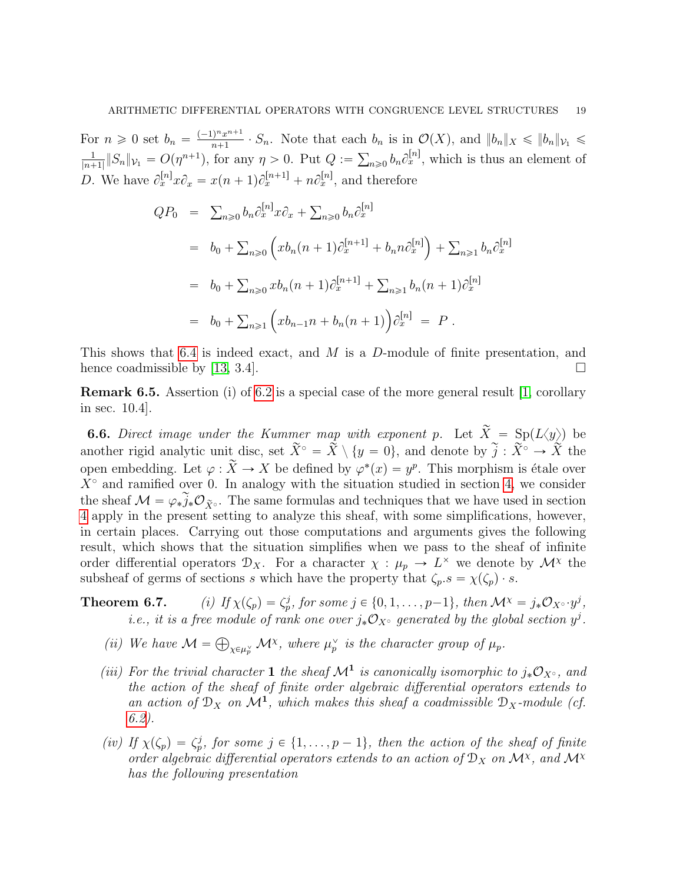For  $n \geqslant 0$  set  $b_n = \frac{(-1)^n x^{n+1}}{n+1}$  $\frac{\int_{0}^{\infty} x^{n+1}}{n+1} \cdot S_n$ . Note that each  $b_n$  is in  $\mathcal{O}(X)$ , and  $||b_n||_X \le ||b_n||_{\mathcal{V}_1} \le$ 1  $\frac{1}{|n+1|} \|S_n\|_{\mathcal{V}_1} = O(\eta^{n+1}),$  for any  $\eta > 0$ . Put  $Q := \sum_{n\geqslant 0} b_n \partial_x^{[n]},$  which is thus an element of D. We have  $\partial_x^{[n]} x \partial_x = x(n+1)\partial_x^{[n+1]} + n\partial_x^{[n]},$  and therefore

$$
QP_0 = \sum_{n\geq 0} b_n \partial_x^{[n]} x \partial_x + \sum_{n\geq 0} b_n \partial_x^{[n]}
$$
  
\n
$$
= b_0 + \sum_{n\geq 0} \left( x b_n (n+1) \partial_x^{[n+1]} + b_n n \partial_x^{[n]} \right) + \sum_{n\geq 1} b_n \partial_x^{[n]}
$$
  
\n
$$
= b_0 + \sum_{n\geq 0} x b_n (n+1) \partial_x^{[n+1]} + \sum_{n\geq 1} b_n (n+1) \partial_x^{[n]}
$$
  
\n
$$
= b_0 + \sum_{n\geq 1} \left( x b_{n-1} n + b_n (n+1) \right) \partial_x^{[n]} = P.
$$

This shows that [6.4](#page-17-2) is indeed exact, and M is a D-module of finite presentation, and hence coadmissible by [\[13,](#page-19-7) 3.4].

Remark 6.5. Assertion (i) of [6.2](#page-0-1) is a special case of the more general result [\[1,](#page-19-14) corollary in sec. 10.4].

**6.6.** Direct image under the Kummer map with exponent p. Let  $\widetilde{X} = Sp(L\langle y \rangle)$  be another rigid analytic unit disc, set  $\widetilde{X}^{\circ} = \widetilde{X} \setminus \{y = 0\}$ , and denote by  $\widetilde{j} : \widetilde{X}^{\circ} \to \widetilde{X}$  the open embedding. Let  $\varphi : \widetilde{X} \to X$  be defined by  $\varphi^*(x) = y^p$ . This morphism is étale over  $X^{\circ}$  and ramified over 0. In analogy with the situation studied in section [4,](#page-5-0) we consider the sheaf  $\mathcal{M} = \varphi_* \widetilde{j}_* \mathcal{O}_{\widetilde{X}^{\circ}}$ . The same formulas and techniques that we have used in section [4](#page-5-0) apply in the present setting to analyze this sheaf, with some simplifications, however, in certain places. Carrying out those computations and arguments gives the following result, which shows that the situation simplifies when we pass to the sheaf of infinite order differential operators  $\mathcal{D}_X$ . For a character  $\chi : \mu_p \to L^\times$  we denote by  $\mathcal{M}^\chi$  the subsheaf of germs of sections s which have the property that  $\zeta_p.s = \chi(\zeta_p) \cdot s$ .

# **Theorem 6.7.** (i) If  $\chi(\zeta_p) = \zeta_p^j$ , for some  $j \in \{0, 1, \ldots, p-1\}$ , then  $\mathcal{M}^{\chi} = j_* \mathcal{O}_{X^{\circ}} \cdot y^j$ , *i.e.*, *it is a free module of rank one over*  $j_*\mathcal{O}_{X^{\circ}}$  generated by the global section  $y^j$ .

- (*ii*) We have  $\mathcal{M} =$  $\chi \in \mu_p^{\vee}$  M<sup>x</sup>, where  $\mu_p^{\vee}$  is the character group of  $\mu_p$ .
- (iii) For the trivial character 1 the sheaf  $\mathcal{M}^1$  is canonically isomorphic to  $j_*\mathcal{O}_{X^{\circ}}$ , and the action of the sheaf of finite order algebraic differential operators extends to an action of  $\mathfrak{D}_X$  on  $\mathcal{M}^1$ , which makes this sheaf a coadmissible  $\mathfrak{D}_X$ -module (cf. [6.2\)](#page-0-1).
- (iv) If  $\chi(\zeta_p) = \zeta_p^j$ , for some  $j \in \{1, \ldots, p-1\}$ , then the action of the sheaf of finite order algebraic differential operators extends to an action of  $\mathcal{D}_X$  on  $\mathcal{M}^{\chi}$ , and  $\mathcal{M}^{\chi}$ has the following presentation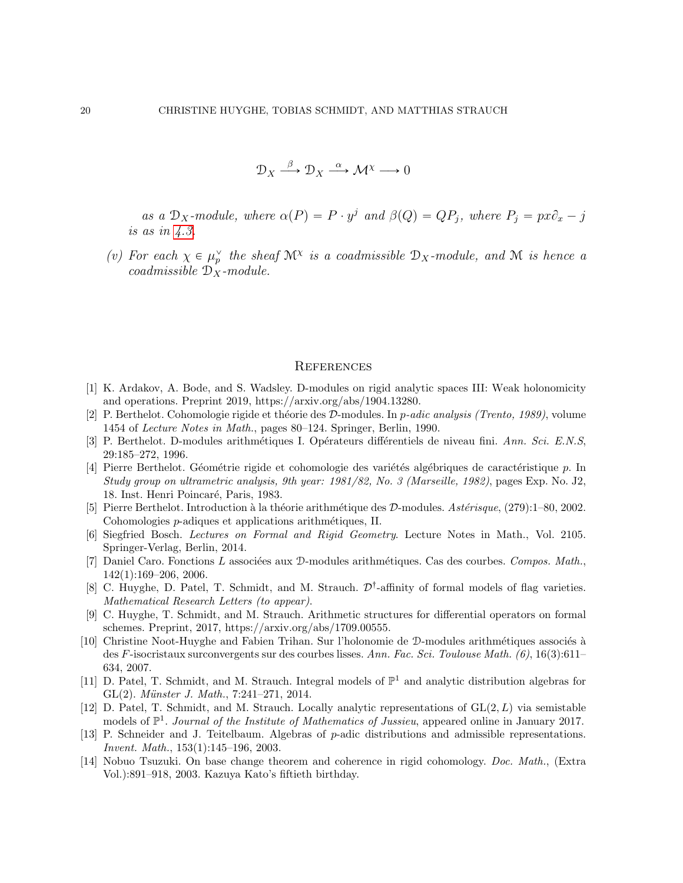$$
\mathcal{D}_X \xrightarrow{\beta} \mathcal{D}_X \xrightarrow{\alpha} \mathcal{M}^{\chi} \longrightarrow 0
$$

as a  $\mathcal{D}_X$ -module, where  $\alpha(P) = P \cdot y^j$  and  $\beta(Q) = QP_j$ , where  $P_j = px\partial_x - j$ is as in [4.3.](#page-0-1)

(v) For each  $\chi \in \mu_p^{\vee}$  the sheaf  $\mathcal{M}^{\chi}$  is a coadmissible  $\mathcal{D}_X$ -module, and  $\mathcal M$  is hence a coadmissible  $\mathcal{D}_X$ -module.

#### <span id="page-19-0"></span>**REFERENCES**

- <span id="page-19-14"></span>[1] K. Ardakov, A. Bode, and S. Wadsley. D-modules on rigid analytic spaces III: Weak holonomicity and operations. Preprint 2019, https://arxiv.org/abs/1904.13280.
- <span id="page-19-6"></span>[2] P. Berthelot. Cohomologie rigide et théorie des D-modules. In p-adic analysis (Trento, 1989), volume 1454 of Lecture Notes in Math., pages 80–124. Springer, Berlin, 1990.
- <span id="page-19-5"></span>[3] P. Berthelot. D-modules arithmétiques I. Opérateurs différentiels de niveau fini. Ann. Sci. E.N.S, 29:185–272, 1996.
- <span id="page-19-10"></span>[4] Pierre Berthelot. Géométrie rigide et cohomologie des variétés algébriques de caractéristique p. In Study group on ultrametric analysis, 9th year: 1981/82, No. 3 (Marseille, 1982), pages Exp. No. J2, 18. Inst. Henri Poincaré, Paris, 1983.
- <span id="page-19-8"></span>[5] Pierre Berthelot. Introduction à la théorie arithmétique des  $D$ -modules. Astérisque, (279):1–80, 2002. Cohomologies *p*-adiques et applications arithmétiques, II.
- <span id="page-19-13"></span>[6] Siegfried Bosch. Lectures on Formal and Rigid Geometry. Lecture Notes in Math., Vol. 2105. Springer-Verlag, Berlin, 2014.
- <span id="page-19-11"></span>[7] Daniel Caro. Fonctions L associées aux D-modules arithmétiques. Cas des courbes. Compos. Math., 142(1):169–206, 2006.
- <span id="page-19-1"></span>[8] C. Huyghe, D. Patel, T. Schmidt, and M. Strauch.  $\mathcal{D}^{\dagger}$ -affinity of formal models of flag varieties. Mathematical Research Letters (to appear).
- <span id="page-19-2"></span>[9] C. Huyghe, T. Schmidt, and M. Strauch. Arithmetic structures for differential operators on formal schemes. Preprint, 2017, https://arxiv.org/abs/1709.00555.
- <span id="page-19-12"></span>[10] Christine Noot-Huyghe and Fabien Trihan. Sur l'holonomie de D-modules arithm´etiques associ´es `a des F-isocristaux surconvergents sur des courbes lisses. Ann. Fac. Sci. Toulouse Math. (6), 16(3):611– 634, 2007.
- <span id="page-19-3"></span>[11] D. Patel, T. Schmidt, and M. Strauch. Integral models of  $\mathbb{P}^1$  and analytic distribution algebras for GL $(2)$ . Münster J. Math., 7:241–271, 2014.
- <span id="page-19-4"></span>[12] D. Patel, T. Schmidt, and M. Strauch. Locally analytic representations of  $GL(2, L)$  via semistable models of  $\mathbb{P}^1$ . Journal of the Institute of Mathematics of Jussieu, appeared online in January 2017.
- <span id="page-19-7"></span>[13] P. Schneider and J. Teitelbaum. Algebras of p-adic distributions and admissible representations. Invent. Math., 153(1):145–196, 2003.
- <span id="page-19-9"></span>[14] Nobuo Tsuzuki. On base change theorem and coherence in rigid cohomology. Doc. Math., (Extra Vol.):891–918, 2003. Kazuya Kato's fiftieth birthday.